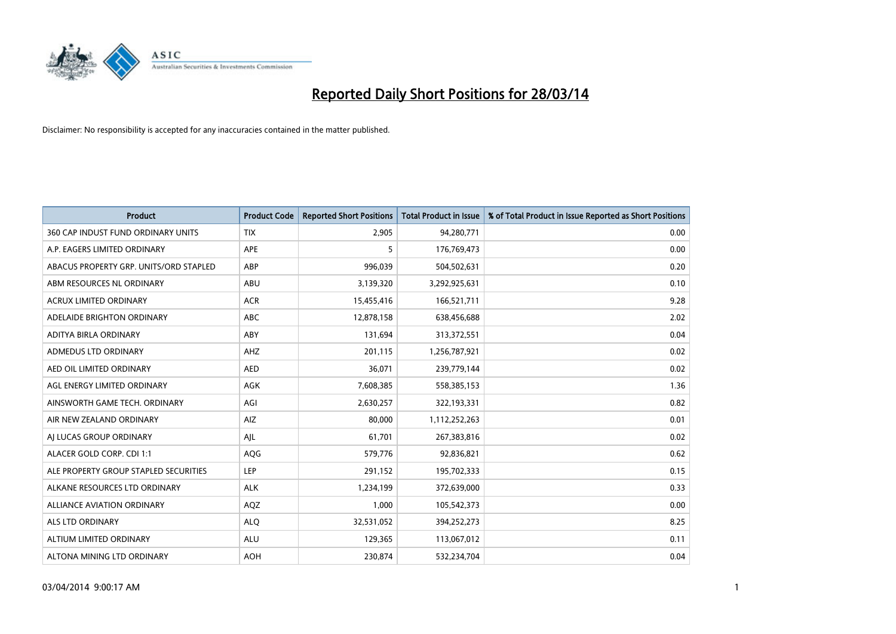

| <b>Product</b>                         | <b>Product Code</b> | <b>Reported Short Positions</b> | <b>Total Product in Issue</b> | % of Total Product in Issue Reported as Short Positions |
|----------------------------------------|---------------------|---------------------------------|-------------------------------|---------------------------------------------------------|
| 360 CAP INDUST FUND ORDINARY UNITS     | <b>TIX</b>          | 2,905                           | 94,280,771                    | 0.00                                                    |
| A.P. EAGERS LIMITED ORDINARY           | APE                 | 5                               | 176,769,473                   | 0.00                                                    |
| ABACUS PROPERTY GRP. UNITS/ORD STAPLED | ABP                 | 996,039                         | 504,502,631                   | 0.20                                                    |
| ABM RESOURCES NL ORDINARY              | ABU                 | 3,139,320                       | 3,292,925,631                 | 0.10                                                    |
| <b>ACRUX LIMITED ORDINARY</b>          | <b>ACR</b>          | 15,455,416                      | 166,521,711                   | 9.28                                                    |
| ADELAIDE BRIGHTON ORDINARY             | ABC                 | 12,878,158                      | 638,456,688                   | 2.02                                                    |
| ADITYA BIRLA ORDINARY                  | ABY                 | 131,694                         | 313,372,551                   | 0.04                                                    |
| ADMEDUS LTD ORDINARY                   | AHZ                 | 201,115                         | 1,256,787,921                 | 0.02                                                    |
| AED OIL LIMITED ORDINARY               | <b>AED</b>          | 36,071                          | 239,779,144                   | 0.02                                                    |
| AGL ENERGY LIMITED ORDINARY            | AGK                 | 7,608,385                       | 558,385,153                   | 1.36                                                    |
| AINSWORTH GAME TECH. ORDINARY          | AGI                 | 2,630,257                       | 322,193,331                   | 0.82                                                    |
| AIR NEW ZEALAND ORDINARY               | AIZ                 | 80,000                          | 1,112,252,263                 | 0.01                                                    |
| AI LUCAS GROUP ORDINARY                | AJL                 | 61,701                          | 267,383,816                   | 0.02                                                    |
| ALACER GOLD CORP. CDI 1:1              | AQG                 | 579,776                         | 92,836,821                    | 0.62                                                    |
| ALE PROPERTY GROUP STAPLED SECURITIES  | <b>LEP</b>          | 291,152                         | 195,702,333                   | 0.15                                                    |
| ALKANE RESOURCES LTD ORDINARY          | <b>ALK</b>          | 1,234,199                       | 372,639,000                   | 0.33                                                    |
| ALLIANCE AVIATION ORDINARY             | AQZ                 | 1,000                           | 105,542,373                   | 0.00                                                    |
| <b>ALS LTD ORDINARY</b>                | <b>ALQ</b>          | 32,531,052                      | 394,252,273                   | 8.25                                                    |
| ALTIUM LIMITED ORDINARY                | <b>ALU</b>          | 129,365                         | 113,067,012                   | 0.11                                                    |
| ALTONA MINING LTD ORDINARY             | <b>AOH</b>          | 230,874                         | 532,234,704                   | 0.04                                                    |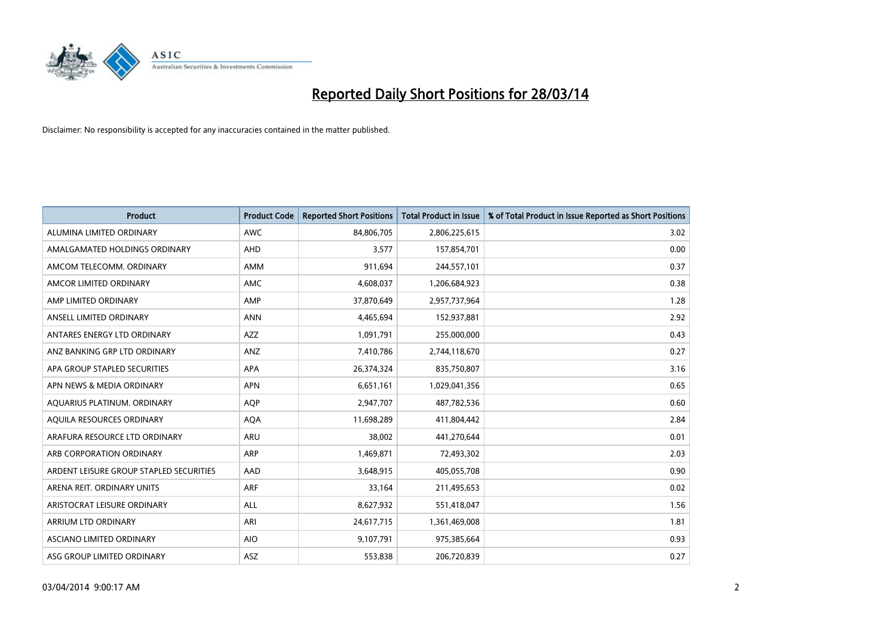

| <b>Product</b>                          | <b>Product Code</b> | <b>Reported Short Positions</b> | <b>Total Product in Issue</b> | % of Total Product in Issue Reported as Short Positions |
|-----------------------------------------|---------------------|---------------------------------|-------------------------------|---------------------------------------------------------|
| ALUMINA LIMITED ORDINARY                | <b>AWC</b>          | 84,806,705                      | 2,806,225,615                 | 3.02                                                    |
| AMALGAMATED HOLDINGS ORDINARY           | AHD                 | 3,577                           | 157,854,701                   | 0.00                                                    |
| AMCOM TELECOMM, ORDINARY                | AMM                 | 911,694                         | 244,557,101                   | 0.37                                                    |
| AMCOR LIMITED ORDINARY                  | <b>AMC</b>          | 4,608,037                       | 1,206,684,923                 | 0.38                                                    |
| AMP LIMITED ORDINARY                    | AMP                 | 37,870,649                      | 2,957,737,964                 | 1.28                                                    |
| ANSELL LIMITED ORDINARY                 | <b>ANN</b>          | 4,465,694                       | 152,937,881                   | 2.92                                                    |
| ANTARES ENERGY LTD ORDINARY             | <b>AZZ</b>          | 1,091,791                       | 255,000,000                   | 0.43                                                    |
| ANZ BANKING GRP LTD ORDINARY            | ANZ                 | 7,410,786                       | 2,744,118,670                 | 0.27                                                    |
| APA GROUP STAPLED SECURITIES            | APA                 | 26,374,324                      | 835,750,807                   | 3.16                                                    |
| APN NEWS & MEDIA ORDINARY               | <b>APN</b>          | 6,651,161                       | 1,029,041,356                 | 0.65                                                    |
| AQUARIUS PLATINUM. ORDINARY             | <b>AOP</b>          | 2,947,707                       | 487,782,536                   | 0.60                                                    |
| AQUILA RESOURCES ORDINARY               | <b>AQA</b>          | 11,698,289                      | 411,804,442                   | 2.84                                                    |
| ARAFURA RESOURCE LTD ORDINARY           | ARU                 | 38,002                          | 441,270,644                   | 0.01                                                    |
| ARB CORPORATION ORDINARY                | ARP                 | 1,469,871                       | 72,493,302                    | 2.03                                                    |
| ARDENT LEISURE GROUP STAPLED SECURITIES | AAD                 | 3,648,915                       | 405,055,708                   | 0.90                                                    |
| ARENA REIT. ORDINARY UNITS              | ARF                 | 33,164                          | 211,495,653                   | 0.02                                                    |
| ARISTOCRAT LEISURE ORDINARY             | ALL                 | 8,627,932                       | 551,418,047                   | 1.56                                                    |
| <b>ARRIUM LTD ORDINARY</b>              | ARI                 | 24,617,715                      | 1,361,469,008                 | 1.81                                                    |
| ASCIANO LIMITED ORDINARY                | <b>AIO</b>          | 9,107,791                       | 975,385,664                   | 0.93                                                    |
| ASG GROUP LIMITED ORDINARY              | ASZ                 | 553,838                         | 206,720,839                   | 0.27                                                    |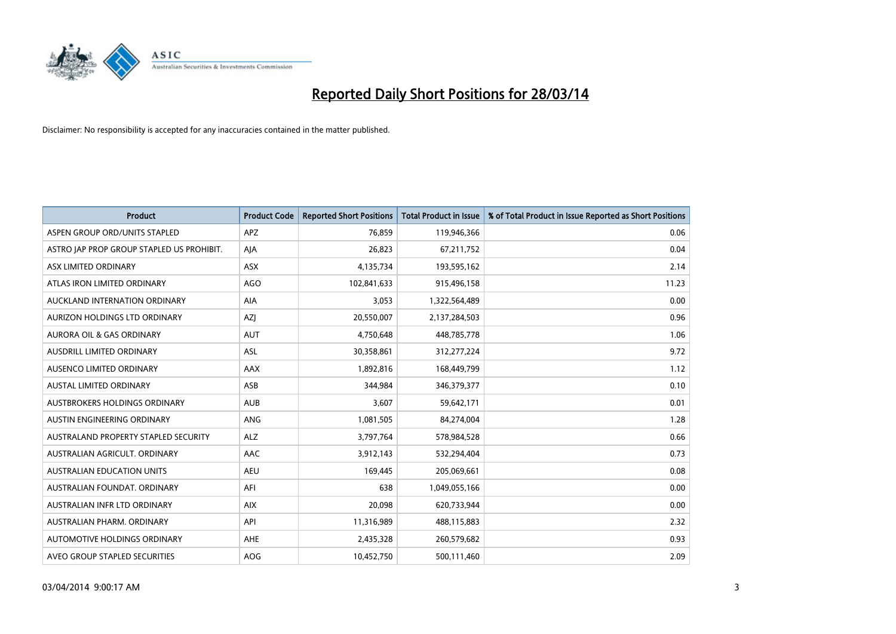

| <b>Product</b>                            | <b>Product Code</b> | <b>Reported Short Positions</b> | <b>Total Product in Issue</b> | % of Total Product in Issue Reported as Short Positions |
|-------------------------------------------|---------------------|---------------------------------|-------------------------------|---------------------------------------------------------|
| ASPEN GROUP ORD/UNITS STAPLED             | <b>APZ</b>          | 76,859                          | 119,946,366                   | 0.06                                                    |
| ASTRO JAP PROP GROUP STAPLED US PROHIBIT. | AJA                 | 26,823                          | 67,211,752                    | 0.04                                                    |
| ASX LIMITED ORDINARY                      | <b>ASX</b>          | 4,135,734                       | 193,595,162                   | 2.14                                                    |
| ATLAS IRON LIMITED ORDINARY               | <b>AGO</b>          | 102,841,633                     | 915,496,158                   | 11.23                                                   |
| AUCKLAND INTERNATION ORDINARY             | AIA                 | 3,053                           | 1,322,564,489                 | 0.00                                                    |
| AURIZON HOLDINGS LTD ORDINARY             | AZJ                 | 20,550,007                      | 2,137,284,503                 | 0.96                                                    |
| <b>AURORA OIL &amp; GAS ORDINARY</b>      | AUT                 | 4,750,648                       | 448,785,778                   | 1.06                                                    |
| AUSDRILL LIMITED ORDINARY                 | <b>ASL</b>          | 30,358,861                      | 312,277,224                   | 9.72                                                    |
| AUSENCO LIMITED ORDINARY                  | AAX                 | 1,892,816                       | 168,449,799                   | 1.12                                                    |
| <b>AUSTAL LIMITED ORDINARY</b>            | ASB                 | 344,984                         | 346,379,377                   | 0.10                                                    |
| AUSTBROKERS HOLDINGS ORDINARY             | <b>AUB</b>          | 3,607                           | 59,642,171                    | 0.01                                                    |
| AUSTIN ENGINEERING ORDINARY               | ANG                 | 1,081,505                       | 84,274,004                    | 1.28                                                    |
| AUSTRALAND PROPERTY STAPLED SECURITY      | <b>ALZ</b>          | 3,797,764                       | 578,984,528                   | 0.66                                                    |
| AUSTRALIAN AGRICULT, ORDINARY             | AAC                 | 3,912,143                       | 532,294,404                   | 0.73                                                    |
| <b>AUSTRALIAN EDUCATION UNITS</b>         | <b>AEU</b>          | 169,445                         | 205,069,661                   | 0.08                                                    |
| AUSTRALIAN FOUNDAT, ORDINARY              | AFI                 | 638                             | 1,049,055,166                 | 0.00                                                    |
| AUSTRALIAN INFR LTD ORDINARY              | <b>AIX</b>          | 20,098                          | 620,733,944                   | 0.00                                                    |
| AUSTRALIAN PHARM, ORDINARY                | API                 | 11,316,989                      | 488,115,883                   | 2.32                                                    |
| AUTOMOTIVE HOLDINGS ORDINARY              | <b>AHE</b>          | 2,435,328                       | 260,579,682                   | 0.93                                                    |
| AVEO GROUP STAPLED SECURITIES             | AOG                 | 10,452,750                      | 500,111,460                   | 2.09                                                    |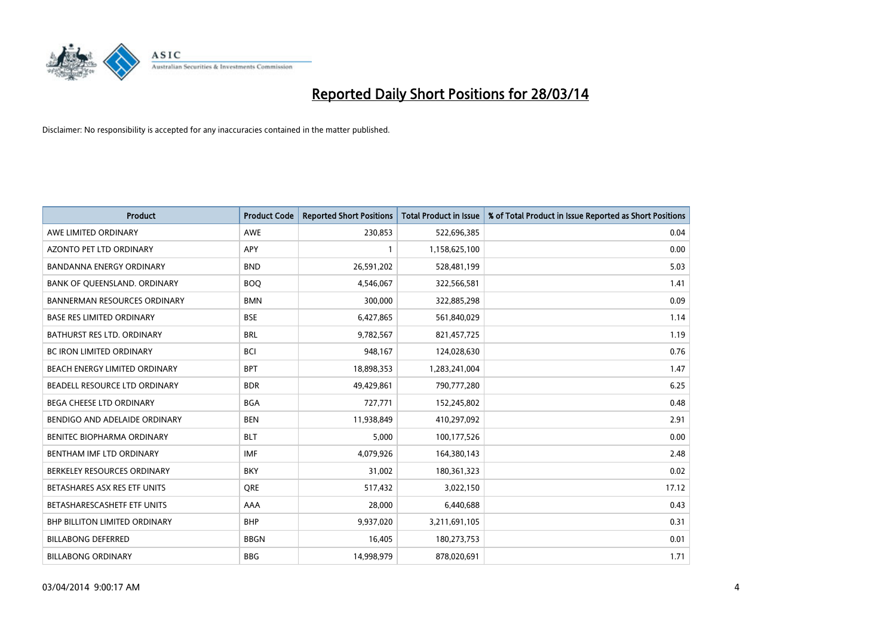

| <b>Product</b>                       | <b>Product Code</b> | <b>Reported Short Positions</b> | <b>Total Product in Issue</b> | % of Total Product in Issue Reported as Short Positions |
|--------------------------------------|---------------------|---------------------------------|-------------------------------|---------------------------------------------------------|
| AWE LIMITED ORDINARY                 | <b>AWE</b>          | 230,853                         | 522,696,385                   | 0.04                                                    |
| AZONTO PET LTD ORDINARY              | <b>APY</b>          | 1                               | 1,158,625,100                 | 0.00                                                    |
| <b>BANDANNA ENERGY ORDINARY</b>      | <b>BND</b>          | 26,591,202                      | 528,481,199                   | 5.03                                                    |
| BANK OF QUEENSLAND. ORDINARY         | <b>BOQ</b>          | 4,546,067                       | 322,566,581                   | 1.41                                                    |
| <b>BANNERMAN RESOURCES ORDINARY</b>  | <b>BMN</b>          | 300,000                         | 322,885,298                   | 0.09                                                    |
| <b>BASE RES LIMITED ORDINARY</b>     | <b>BSE</b>          | 6,427,865                       | 561,840,029                   | 1.14                                                    |
| <b>BATHURST RES LTD. ORDINARY</b>    | <b>BRL</b>          | 9,782,567                       | 821,457,725                   | 1.19                                                    |
| <b>BC IRON LIMITED ORDINARY</b>      | <b>BCI</b>          | 948,167                         | 124,028,630                   | 0.76                                                    |
| BEACH ENERGY LIMITED ORDINARY        | <b>BPT</b>          | 18,898,353                      | 1,283,241,004                 | 1.47                                                    |
| BEADELL RESOURCE LTD ORDINARY        | <b>BDR</b>          | 49,429,861                      | 790,777,280                   | 6.25                                                    |
| BEGA CHEESE LTD ORDINARY             | <b>BGA</b>          | 727,771                         | 152,245,802                   | 0.48                                                    |
| BENDIGO AND ADELAIDE ORDINARY        | <b>BEN</b>          | 11,938,849                      | 410,297,092                   | 2.91                                                    |
| <b>BENITEC BIOPHARMA ORDINARY</b>    | <b>BLT</b>          | 5,000                           | 100,177,526                   | 0.00                                                    |
| BENTHAM IMF LTD ORDINARY             | <b>IMF</b>          | 4,079,926                       | 164,380,143                   | 2.48                                                    |
| BERKELEY RESOURCES ORDINARY          | <b>BKY</b>          | 31,002                          | 180,361,323                   | 0.02                                                    |
| BETASHARES ASX RES ETF UNITS         | <b>ORE</b>          | 517,432                         | 3,022,150                     | 17.12                                                   |
| BETASHARESCASHETF ETF UNITS          | AAA                 | 28,000                          | 6,440,688                     | 0.43                                                    |
| <b>BHP BILLITON LIMITED ORDINARY</b> | <b>BHP</b>          | 9,937,020                       | 3,211,691,105                 | 0.31                                                    |
| <b>BILLABONG DEFERRED</b>            | <b>BBGN</b>         | 16,405                          | 180,273,753                   | 0.01                                                    |
| <b>BILLABONG ORDINARY</b>            | <b>BBG</b>          | 14,998,979                      | 878,020,691                   | 1.71                                                    |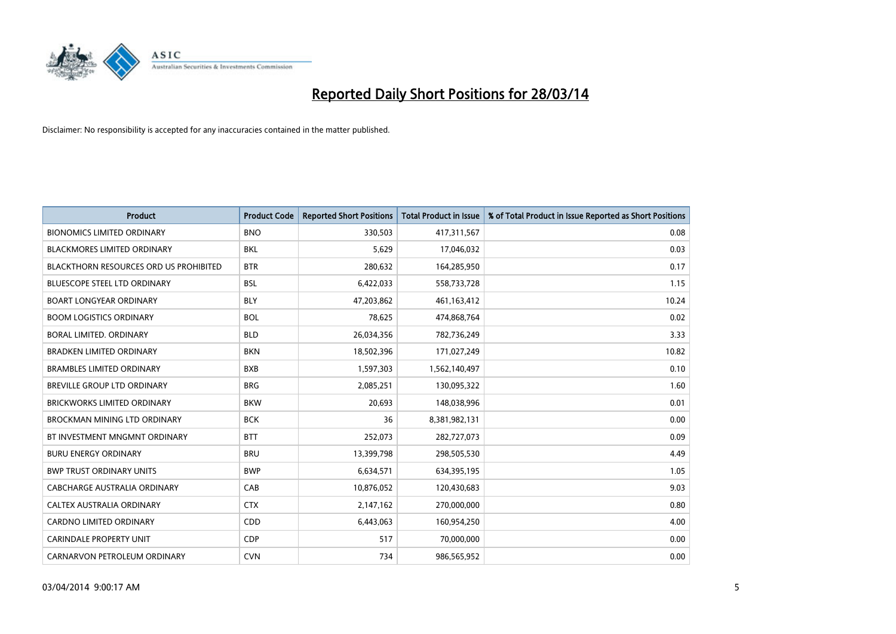

| <b>Product</b>                                | <b>Product Code</b> | <b>Reported Short Positions</b> | <b>Total Product in Issue</b> | % of Total Product in Issue Reported as Short Positions |
|-----------------------------------------------|---------------------|---------------------------------|-------------------------------|---------------------------------------------------------|
| <b>BIONOMICS LIMITED ORDINARY</b>             | <b>BNO</b>          | 330,503                         | 417,311,567                   | 0.08                                                    |
| BLACKMORES LIMITED ORDINARY                   | BKL                 | 5,629                           | 17,046,032                    | 0.03                                                    |
| <b>BLACKTHORN RESOURCES ORD US PROHIBITED</b> | <b>BTR</b>          | 280,632                         | 164,285,950                   | 0.17                                                    |
| BLUESCOPE STEEL LTD ORDINARY                  | <b>BSL</b>          | 6,422,033                       | 558,733,728                   | 1.15                                                    |
| <b>BOART LONGYEAR ORDINARY</b>                | <b>BLY</b>          | 47,203,862                      | 461,163,412                   | 10.24                                                   |
| <b>BOOM LOGISTICS ORDINARY</b>                | <b>BOL</b>          | 78,625                          | 474,868,764                   | 0.02                                                    |
| BORAL LIMITED, ORDINARY                       | <b>BLD</b>          | 26,034,356                      | 782,736,249                   | 3.33                                                    |
| <b>BRADKEN LIMITED ORDINARY</b>               | <b>BKN</b>          | 18,502,396                      | 171,027,249                   | 10.82                                                   |
| <b>BRAMBLES LIMITED ORDINARY</b>              | <b>BXB</b>          | 1,597,303                       | 1,562,140,497                 | 0.10                                                    |
| <b>BREVILLE GROUP LTD ORDINARY</b>            | <b>BRG</b>          | 2,085,251                       | 130,095,322                   | 1.60                                                    |
| BRICKWORKS LIMITED ORDINARY                   | <b>BKW</b>          | 20,693                          | 148,038,996                   | 0.01                                                    |
| <b>BROCKMAN MINING LTD ORDINARY</b>           | <b>BCK</b>          | 36                              | 8,381,982,131                 | 0.00                                                    |
| BT INVESTMENT MNGMNT ORDINARY                 | <b>BTT</b>          | 252,073                         | 282,727,073                   | 0.09                                                    |
| <b>BURU ENERGY ORDINARY</b>                   | <b>BRU</b>          | 13,399,798                      | 298,505,530                   | 4.49                                                    |
| <b>BWP TRUST ORDINARY UNITS</b>               | <b>BWP</b>          | 6,634,571                       | 634,395,195                   | 1.05                                                    |
| CABCHARGE AUSTRALIA ORDINARY                  | CAB                 | 10,876,052                      | 120,430,683                   | 9.03                                                    |
| CALTEX AUSTRALIA ORDINARY                     | <b>CTX</b>          | 2,147,162                       | 270,000,000                   | 0.80                                                    |
| CARDNO LIMITED ORDINARY                       | CDD                 | 6,443,063                       | 160,954,250                   | 4.00                                                    |
| <b>CARINDALE PROPERTY UNIT</b>                | <b>CDP</b>          | 517                             | 70,000,000                    | 0.00                                                    |
| CARNARVON PETROLEUM ORDINARY                  | <b>CVN</b>          | 734                             | 986,565,952                   | 0.00                                                    |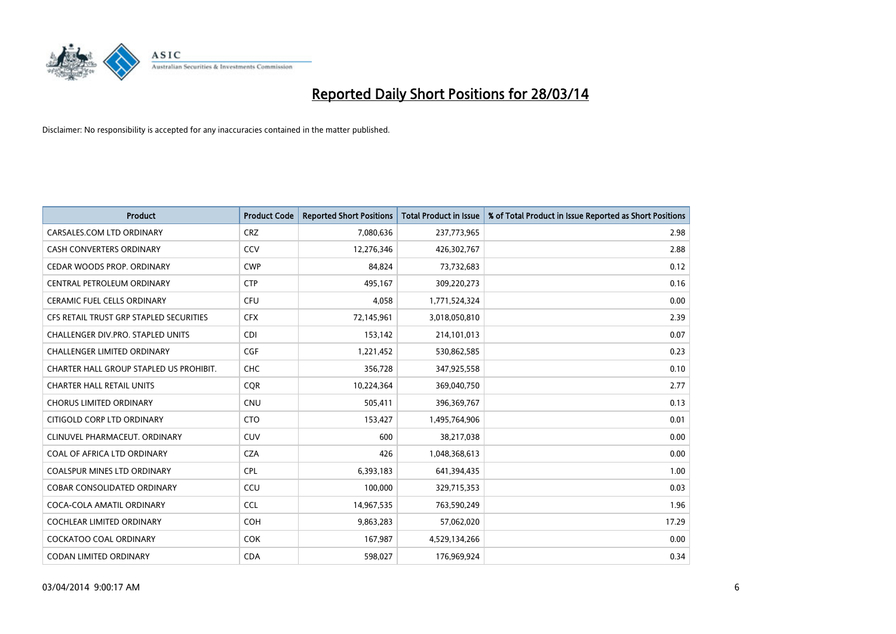

| Product                                 | <b>Product Code</b> | <b>Reported Short Positions</b> | <b>Total Product in Issue</b> | % of Total Product in Issue Reported as Short Positions |
|-----------------------------------------|---------------------|---------------------------------|-------------------------------|---------------------------------------------------------|
| CARSALES.COM LTD ORDINARY               | <b>CRZ</b>          | 7,080,636                       | 237,773,965                   | 2.98                                                    |
| CASH CONVERTERS ORDINARY                | CCV                 | 12,276,346                      | 426,302,767                   | 2.88                                                    |
| CEDAR WOODS PROP. ORDINARY              | <b>CWP</b>          | 84,824                          | 73,732,683                    | 0.12                                                    |
| CENTRAL PETROLEUM ORDINARY              | <b>CTP</b>          | 495,167                         | 309,220,273                   | 0.16                                                    |
| <b>CERAMIC FUEL CELLS ORDINARY</b>      | <b>CFU</b>          | 4,058                           | 1,771,524,324                 | 0.00                                                    |
| CFS RETAIL TRUST GRP STAPLED SECURITIES | <b>CFX</b>          | 72,145,961                      | 3,018,050,810                 | 2.39                                                    |
| CHALLENGER DIV.PRO. STAPLED UNITS       | <b>CDI</b>          | 153,142                         | 214,101,013                   | 0.07                                                    |
| <b>CHALLENGER LIMITED ORDINARY</b>      | <b>CGF</b>          | 1,221,452                       | 530,862,585                   | 0.23                                                    |
| CHARTER HALL GROUP STAPLED US PROHIBIT. | <b>CHC</b>          | 356,728                         | 347,925,558                   | 0.10                                                    |
| <b>CHARTER HALL RETAIL UNITS</b>        | <b>COR</b>          | 10,224,364                      | 369,040,750                   | 2.77                                                    |
| <b>CHORUS LIMITED ORDINARY</b>          | <b>CNU</b>          | 505,411                         | 396,369,767                   | 0.13                                                    |
| CITIGOLD CORP LTD ORDINARY              | <b>CTO</b>          | 153,427                         | 1,495,764,906                 | 0.01                                                    |
| CLINUVEL PHARMACEUT. ORDINARY           | <b>CUV</b>          | 600                             | 38,217,038                    | 0.00                                                    |
| COAL OF AFRICA LTD ORDINARY             | <b>CZA</b>          | 426                             | 1,048,368,613                 | 0.00                                                    |
| <b>COALSPUR MINES LTD ORDINARY</b>      | <b>CPL</b>          | 6,393,183                       | 641,394,435                   | 1.00                                                    |
| COBAR CONSOLIDATED ORDINARY             | CCU                 | 100,000                         | 329,715,353                   | 0.03                                                    |
| COCA-COLA AMATIL ORDINARY               | <b>CCL</b>          | 14,967,535                      | 763,590,249                   | 1.96                                                    |
| COCHLEAR LIMITED ORDINARY               | <b>COH</b>          | 9,863,283                       | 57,062,020                    | 17.29                                                   |
| <b>COCKATOO COAL ORDINARY</b>           | <b>COK</b>          | 167,987                         | 4,529,134,266                 | 0.00                                                    |
| CODAN LIMITED ORDINARY                  | <b>CDA</b>          | 598,027                         | 176,969,924                   | 0.34                                                    |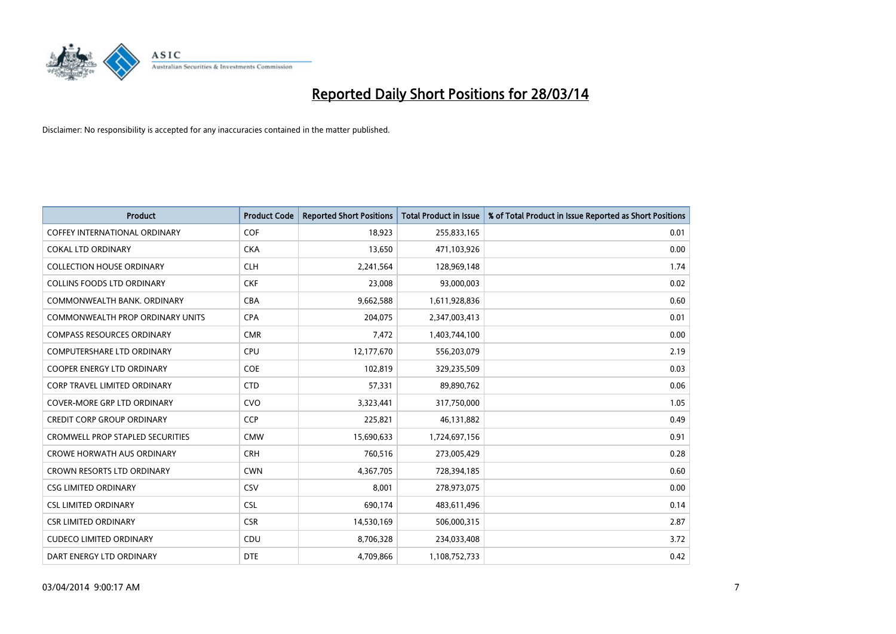

| <b>Product</b>                          | <b>Product Code</b> | <b>Reported Short Positions</b> | <b>Total Product in Issue</b> | % of Total Product in Issue Reported as Short Positions |
|-----------------------------------------|---------------------|---------------------------------|-------------------------------|---------------------------------------------------------|
| <b>COFFEY INTERNATIONAL ORDINARY</b>    | <b>COF</b>          | 18,923                          | 255,833,165                   | 0.01                                                    |
| <b>COKAL LTD ORDINARY</b>               | <b>CKA</b>          | 13,650                          | 471,103,926                   | 0.00                                                    |
| <b>COLLECTION HOUSE ORDINARY</b>        | <b>CLH</b>          | 2,241,564                       | 128,969,148                   | 1.74                                                    |
| <b>COLLINS FOODS LTD ORDINARY</b>       | <b>CKF</b>          | 23,008                          | 93,000,003                    | 0.02                                                    |
| COMMONWEALTH BANK, ORDINARY             | <b>CBA</b>          | 9,662,588                       | 1,611,928,836                 | 0.60                                                    |
| <b>COMMONWEALTH PROP ORDINARY UNITS</b> | <b>CPA</b>          | 204,075                         | 2,347,003,413                 | 0.01                                                    |
| <b>COMPASS RESOURCES ORDINARY</b>       | <b>CMR</b>          | 7,472                           | 1,403,744,100                 | 0.00                                                    |
| COMPUTERSHARE LTD ORDINARY              | <b>CPU</b>          | 12,177,670                      | 556,203,079                   | 2.19                                                    |
| <b>COOPER ENERGY LTD ORDINARY</b>       | <b>COE</b>          | 102,819                         | 329,235,509                   | 0.03                                                    |
| <b>CORP TRAVEL LIMITED ORDINARY</b>     | <b>CTD</b>          | 57,331                          | 89,890,762                    | 0.06                                                    |
| COVER-MORE GRP LTD ORDINARY             | <b>CVO</b>          | 3,323,441                       | 317,750,000                   | 1.05                                                    |
| <b>CREDIT CORP GROUP ORDINARY</b>       | <b>CCP</b>          | 225,821                         | 46,131,882                    | 0.49                                                    |
| <b>CROMWELL PROP STAPLED SECURITIES</b> | <b>CMW</b>          | 15,690,633                      | 1,724,697,156                 | 0.91                                                    |
| <b>CROWE HORWATH AUS ORDINARY</b>       | <b>CRH</b>          | 760,516                         | 273,005,429                   | 0.28                                                    |
| <b>CROWN RESORTS LTD ORDINARY</b>       | <b>CWN</b>          | 4,367,705                       | 728,394,185                   | 0.60                                                    |
| <b>CSG LIMITED ORDINARY</b>             | CSV                 | 8,001                           | 278,973,075                   | 0.00                                                    |
| <b>CSL LIMITED ORDINARY</b>             | <b>CSL</b>          | 690,174                         | 483,611,496                   | 0.14                                                    |
| <b>CSR LIMITED ORDINARY</b>             | <b>CSR</b>          | 14,530,169                      | 506,000,315                   | 2.87                                                    |
| <b>CUDECO LIMITED ORDINARY</b>          | CDU                 | 8,706,328                       | 234,033,408                   | 3.72                                                    |
| DART ENERGY LTD ORDINARY                | <b>DTE</b>          | 4,709,866                       | 1,108,752,733                 | 0.42                                                    |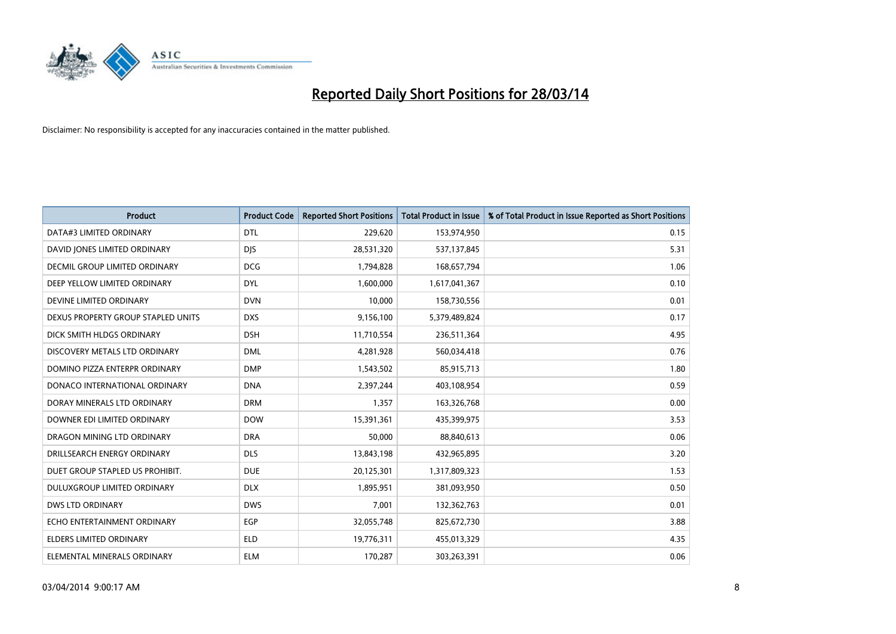

| <b>Product</b>                     | <b>Product Code</b> | <b>Reported Short Positions</b> | <b>Total Product in Issue</b> | % of Total Product in Issue Reported as Short Positions |
|------------------------------------|---------------------|---------------------------------|-------------------------------|---------------------------------------------------------|
| DATA#3 LIMITED ORDINARY            | <b>DTL</b>          | 229,620                         | 153,974,950                   | 0.15                                                    |
| DAVID JONES LIMITED ORDINARY       | <b>DJS</b>          | 28,531,320                      | 537,137,845                   | 5.31                                                    |
| DECMIL GROUP LIMITED ORDINARY      | <b>DCG</b>          | 1,794,828                       | 168,657,794                   | 1.06                                                    |
| DEEP YELLOW LIMITED ORDINARY       | <b>DYL</b>          | 1,600,000                       | 1,617,041,367                 | 0.10                                                    |
| DEVINE LIMITED ORDINARY            | <b>DVN</b>          | 10,000                          | 158,730,556                   | 0.01                                                    |
| DEXUS PROPERTY GROUP STAPLED UNITS | <b>DXS</b>          | 9,156,100                       | 5,379,489,824                 | 0.17                                                    |
| DICK SMITH HLDGS ORDINARY          | <b>DSH</b>          | 11,710,554                      | 236,511,364                   | 4.95                                                    |
| DISCOVERY METALS LTD ORDINARY      | <b>DML</b>          | 4,281,928                       | 560,034,418                   | 0.76                                                    |
| DOMINO PIZZA ENTERPR ORDINARY      | <b>DMP</b>          | 1,543,502                       | 85,915,713                    | 1.80                                                    |
| DONACO INTERNATIONAL ORDINARY      | <b>DNA</b>          | 2,397,244                       | 403,108,954                   | 0.59                                                    |
| DORAY MINERALS LTD ORDINARY        | <b>DRM</b>          | 1,357                           | 163,326,768                   | 0.00                                                    |
| DOWNER EDI LIMITED ORDINARY        | <b>DOW</b>          | 15,391,361                      | 435,399,975                   | 3.53                                                    |
| DRAGON MINING LTD ORDINARY         | <b>DRA</b>          | 50,000                          | 88,840,613                    | 0.06                                                    |
| DRILLSEARCH ENERGY ORDINARY        | <b>DLS</b>          | 13,843,198                      | 432,965,895                   | 3.20                                                    |
| DUET GROUP STAPLED US PROHIBIT.    | <b>DUE</b>          | 20,125,301                      | 1,317,809,323                 | 1.53                                                    |
| DULUXGROUP LIMITED ORDINARY        | <b>DLX</b>          | 1,895,951                       | 381,093,950                   | 0.50                                                    |
| <b>DWS LTD ORDINARY</b>            | <b>DWS</b>          | 7,001                           | 132,362,763                   | 0.01                                                    |
| ECHO ENTERTAINMENT ORDINARY        | <b>EGP</b>          | 32,055,748                      | 825,672,730                   | 3.88                                                    |
| <b>ELDERS LIMITED ORDINARY</b>     | <b>ELD</b>          | 19,776,311                      | 455,013,329                   | 4.35                                                    |
| ELEMENTAL MINERALS ORDINARY        | <b>ELM</b>          | 170,287                         | 303,263,391                   | 0.06                                                    |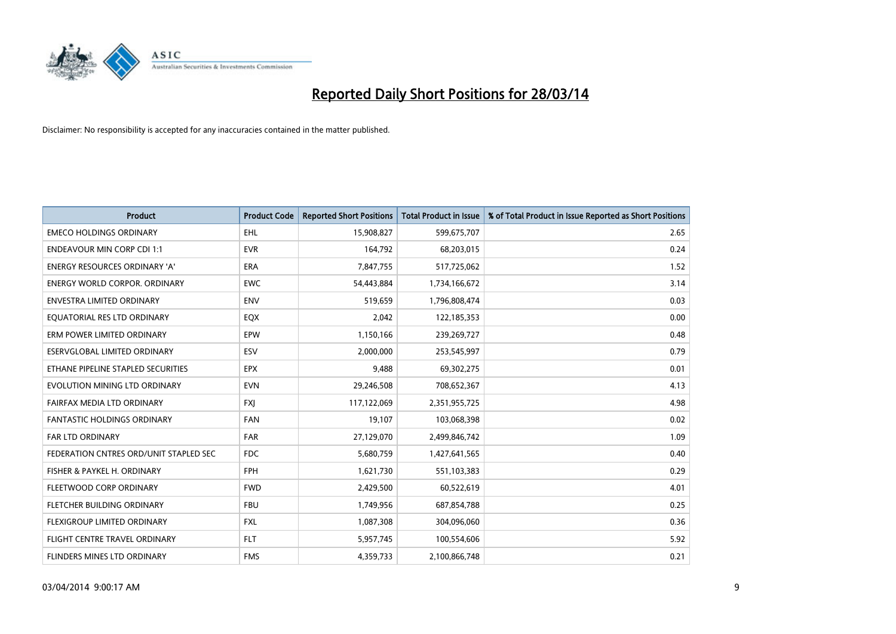

| <b>Product</b>                         | <b>Product Code</b> | <b>Reported Short Positions</b> | <b>Total Product in Issue</b> | % of Total Product in Issue Reported as Short Positions |
|----------------------------------------|---------------------|---------------------------------|-------------------------------|---------------------------------------------------------|
| <b>EMECO HOLDINGS ORDINARY</b>         | <b>EHL</b>          | 15,908,827                      | 599,675,707                   | 2.65                                                    |
| <b>ENDEAVOUR MIN CORP CDI 1:1</b>      | <b>EVR</b>          | 164,792                         | 68,203,015                    | 0.24                                                    |
| ENERGY RESOURCES ORDINARY 'A'          | <b>ERA</b>          | 7,847,755                       | 517,725,062                   | 1.52                                                    |
| <b>ENERGY WORLD CORPOR, ORDINARY</b>   | <b>EWC</b>          | 54,443,884                      | 1,734,166,672                 | 3.14                                                    |
| <b>ENVESTRA LIMITED ORDINARY</b>       | <b>ENV</b>          | 519,659                         | 1,796,808,474                 | 0.03                                                    |
| EQUATORIAL RES LTD ORDINARY            | EQX                 | 2,042                           | 122,185,353                   | 0.00                                                    |
| ERM POWER LIMITED ORDINARY             | EPW                 | 1,150,166                       | 239,269,727                   | 0.48                                                    |
| ESERVGLOBAL LIMITED ORDINARY           | ESV                 | 2,000,000                       | 253,545,997                   | 0.79                                                    |
| ETHANE PIPELINE STAPLED SECURITIES     | <b>EPX</b>          | 9,488                           | 69,302,275                    | 0.01                                                    |
| EVOLUTION MINING LTD ORDINARY          | <b>EVN</b>          | 29,246,508                      | 708,652,367                   | 4.13                                                    |
| FAIRFAX MEDIA LTD ORDINARY             | <b>FXJ</b>          | 117,122,069                     | 2,351,955,725                 | 4.98                                                    |
| FANTASTIC HOLDINGS ORDINARY            | <b>FAN</b>          | 19,107                          | 103,068,398                   | 0.02                                                    |
| <b>FAR LTD ORDINARY</b>                | <b>FAR</b>          | 27,129,070                      | 2,499,846,742                 | 1.09                                                    |
| FEDERATION CNTRES ORD/UNIT STAPLED SEC | <b>FDC</b>          | 5,680,759                       | 1,427,641,565                 | 0.40                                                    |
| FISHER & PAYKEL H. ORDINARY            | <b>FPH</b>          | 1,621,730                       | 551,103,383                   | 0.29                                                    |
| FLEETWOOD CORP ORDINARY                | <b>FWD</b>          | 2,429,500                       | 60,522,619                    | 4.01                                                    |
| FLETCHER BUILDING ORDINARY             | <b>FBU</b>          | 1,749,956                       | 687,854,788                   | 0.25                                                    |
| FLEXIGROUP LIMITED ORDINARY            | <b>FXL</b>          | 1,087,308                       | 304,096,060                   | 0.36                                                    |
| FLIGHT CENTRE TRAVEL ORDINARY          | <b>FLT</b>          | 5,957,745                       | 100,554,606                   | 5.92                                                    |
| <b>FLINDERS MINES LTD ORDINARY</b>     | <b>FMS</b>          | 4,359,733                       | 2,100,866,748                 | 0.21                                                    |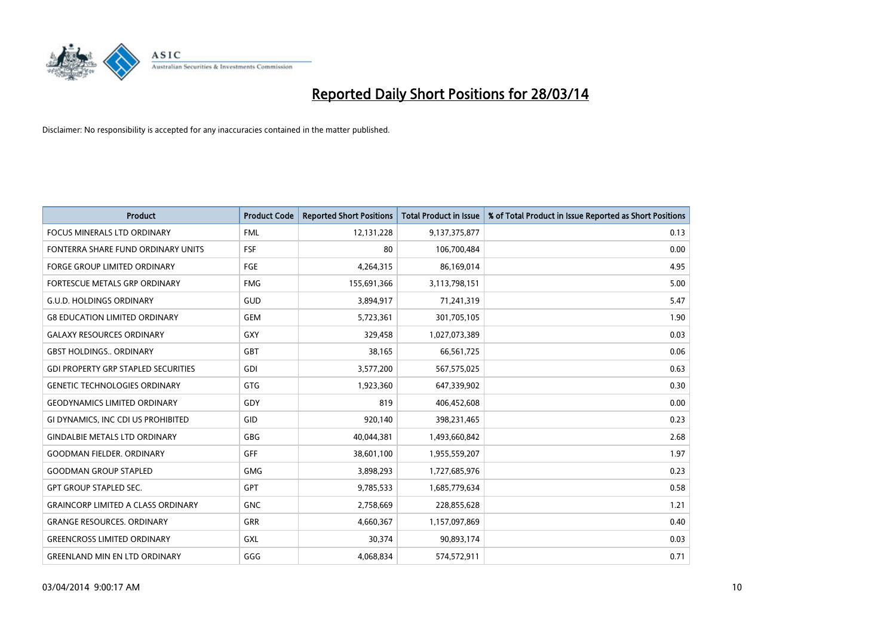

| <b>Product</b>                             | <b>Product Code</b> | <b>Reported Short Positions</b> | <b>Total Product in Issue</b> | % of Total Product in Issue Reported as Short Positions |
|--------------------------------------------|---------------------|---------------------------------|-------------------------------|---------------------------------------------------------|
| <b>FOCUS MINERALS LTD ORDINARY</b>         | <b>FML</b>          | 12,131,228                      | 9,137,375,877                 | 0.13                                                    |
| FONTERRA SHARE FUND ORDINARY UNITS         | <b>FSF</b>          | 80                              | 106,700,484                   | 0.00                                                    |
| <b>FORGE GROUP LIMITED ORDINARY</b>        | <b>FGE</b>          | 4,264,315                       | 86,169,014                    | 4.95                                                    |
| FORTESCUE METALS GRP ORDINARY              | <b>FMG</b>          | 155,691,366                     | 3,113,798,151                 | 5.00                                                    |
| <b>G.U.D. HOLDINGS ORDINARY</b>            | GUD                 | 3,894,917                       | 71,241,319                    | 5.47                                                    |
| <b>G8 EDUCATION LIMITED ORDINARY</b>       | <b>GEM</b>          | 5,723,361                       | 301,705,105                   | 1.90                                                    |
| <b>GALAXY RESOURCES ORDINARY</b>           | GXY                 | 329,458                         | 1,027,073,389                 | 0.03                                                    |
| <b>GBST HOLDINGS ORDINARY</b>              | <b>GBT</b>          | 38,165                          | 66,561,725                    | 0.06                                                    |
| <b>GDI PROPERTY GRP STAPLED SECURITIES</b> | GDI                 | 3,577,200                       | 567,575,025                   | 0.63                                                    |
| <b>GENETIC TECHNOLOGIES ORDINARY</b>       | <b>GTG</b>          | 1,923,360                       | 647,339,902                   | 0.30                                                    |
| <b>GEODYNAMICS LIMITED ORDINARY</b>        | GDY                 | 819                             | 406,452,608                   | 0.00                                                    |
| GI DYNAMICS, INC CDI US PROHIBITED         | GID                 | 920,140                         | 398,231,465                   | 0.23                                                    |
| <b>GINDALBIE METALS LTD ORDINARY</b>       | GBG                 | 40,044,381                      | 1,493,660,842                 | 2.68                                                    |
| <b>GOODMAN FIELDER, ORDINARY</b>           | <b>GFF</b>          | 38,601,100                      | 1,955,559,207                 | 1.97                                                    |
| <b>GOODMAN GROUP STAPLED</b>               | <b>GMG</b>          | 3,898,293                       | 1,727,685,976                 | 0.23                                                    |
| <b>GPT GROUP STAPLED SEC.</b>              | GPT                 | 9,785,533                       | 1,685,779,634                 | 0.58                                                    |
| <b>GRAINCORP LIMITED A CLASS ORDINARY</b>  | <b>GNC</b>          | 2,758,669                       | 228,855,628                   | 1.21                                                    |
| <b>GRANGE RESOURCES, ORDINARY</b>          | GRR                 | 4,660,367                       | 1,157,097,869                 | 0.40                                                    |
| <b>GREENCROSS LIMITED ORDINARY</b>         | <b>GXL</b>          | 30,374                          | 90,893,174                    | 0.03                                                    |
| <b>GREENLAND MIN EN LTD ORDINARY</b>       | GGG                 | 4,068,834                       | 574,572,911                   | 0.71                                                    |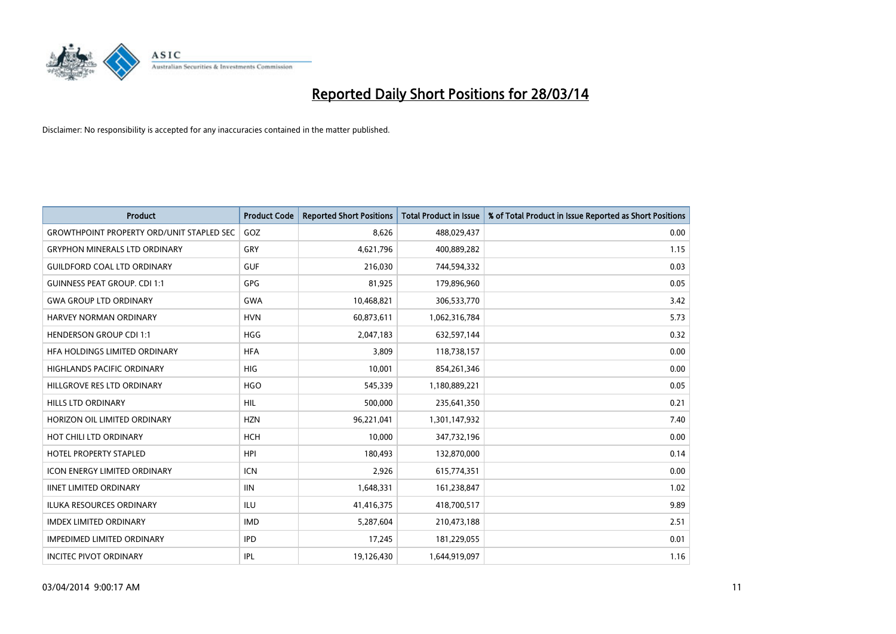

| <b>Product</b>                                   | <b>Product Code</b> | <b>Reported Short Positions</b> | <b>Total Product in Issue</b> | % of Total Product in Issue Reported as Short Positions |
|--------------------------------------------------|---------------------|---------------------------------|-------------------------------|---------------------------------------------------------|
| <b>GROWTHPOINT PROPERTY ORD/UNIT STAPLED SEC</b> | GOZ                 | 8,626                           | 488,029,437                   | 0.00                                                    |
| <b>GRYPHON MINERALS LTD ORDINARY</b>             | <b>GRY</b>          | 4,621,796                       | 400,889,282                   | 1.15                                                    |
| <b>GUILDFORD COAL LTD ORDINARY</b>               | <b>GUF</b>          | 216,030                         | 744,594,332                   | 0.03                                                    |
| <b>GUINNESS PEAT GROUP. CDI 1:1</b>              | GPG                 | 81,925                          | 179,896,960                   | 0.05                                                    |
| <b>GWA GROUP LTD ORDINARY</b>                    | <b>GWA</b>          | 10,468,821                      | 306,533,770                   | 3.42                                                    |
| HARVEY NORMAN ORDINARY                           | <b>HVN</b>          | 60,873,611                      | 1,062,316,784                 | 5.73                                                    |
| <b>HENDERSON GROUP CDI 1:1</b>                   | <b>HGG</b>          | 2,047,183                       | 632,597,144                   | 0.32                                                    |
| HFA HOLDINGS LIMITED ORDINARY                    | <b>HFA</b>          | 3,809                           | 118,738,157                   | 0.00                                                    |
| <b>HIGHLANDS PACIFIC ORDINARY</b>                | <b>HIG</b>          | 10,001                          | 854,261,346                   | 0.00                                                    |
| HILLGROVE RES LTD ORDINARY                       | <b>HGO</b>          | 545,339                         | 1,180,889,221                 | 0.05                                                    |
| HILLS LTD ORDINARY                               | <b>HIL</b>          | 500,000                         | 235,641,350                   | 0.21                                                    |
| HORIZON OIL LIMITED ORDINARY                     | <b>HZN</b>          | 96,221,041                      | 1,301,147,932                 | 7.40                                                    |
| HOT CHILI LTD ORDINARY                           | HCH                 | 10,000                          | 347,732,196                   | 0.00                                                    |
| <b>HOTEL PROPERTY STAPLED</b>                    | <b>HPI</b>          | 180,493                         | 132,870,000                   | 0.14                                                    |
| <b>ICON ENERGY LIMITED ORDINARY</b>              | <b>ICN</b>          | 2,926                           | 615,774,351                   | 0.00                                                    |
| <b>IINET LIMITED ORDINARY</b>                    | <b>IIN</b>          | 1,648,331                       | 161,238,847                   | 1.02                                                    |
| ILUKA RESOURCES ORDINARY                         | ILU                 | 41,416,375                      | 418,700,517                   | 9.89                                                    |
| <b>IMDEX LIMITED ORDINARY</b>                    | <b>IMD</b>          | 5,287,604                       | 210,473,188                   | 2.51                                                    |
| <b>IMPEDIMED LIMITED ORDINARY</b>                | <b>IPD</b>          | 17,245                          | 181,229,055                   | 0.01                                                    |
| <b>INCITEC PIVOT ORDINARY</b>                    | <b>IPL</b>          | 19,126,430                      | 1,644,919,097                 | 1.16                                                    |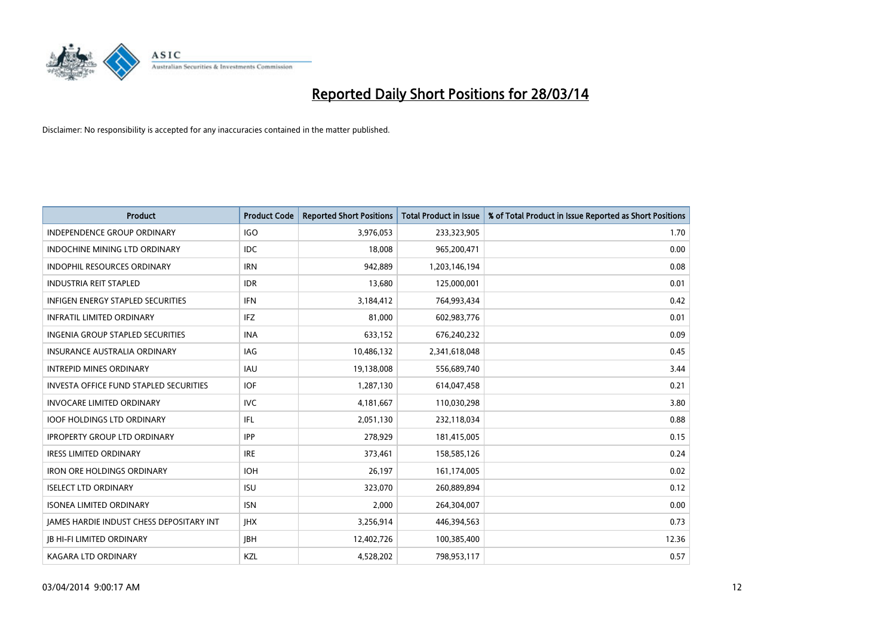

| <b>Product</b>                                | <b>Product Code</b> | <b>Reported Short Positions</b> | <b>Total Product in Issue</b> | % of Total Product in Issue Reported as Short Positions |
|-----------------------------------------------|---------------------|---------------------------------|-------------------------------|---------------------------------------------------------|
| <b>INDEPENDENCE GROUP ORDINARY</b>            | <b>IGO</b>          | 3,976,053                       | 233,323,905                   | 1.70                                                    |
| INDOCHINE MINING LTD ORDINARY                 | IDC                 | 18,008                          | 965,200,471                   | 0.00                                                    |
| <b>INDOPHIL RESOURCES ORDINARY</b>            | <b>IRN</b>          | 942,889                         | 1,203,146,194                 | 0.08                                                    |
| <b>INDUSTRIA REIT STAPLED</b>                 | <b>IDR</b>          | 13,680                          | 125,000,001                   | 0.01                                                    |
| <b>INFIGEN ENERGY STAPLED SECURITIES</b>      | <b>IFN</b>          | 3,184,412                       | 764,993,434                   | 0.42                                                    |
| <b>INFRATIL LIMITED ORDINARY</b>              | <b>IFZ</b>          | 81,000                          | 602,983,776                   | 0.01                                                    |
| <b>INGENIA GROUP STAPLED SECURITIES</b>       | <b>INA</b>          | 633,152                         | 676,240,232                   | 0.09                                                    |
| <b>INSURANCE AUSTRALIA ORDINARY</b>           | <b>IAG</b>          | 10,486,132                      | 2,341,618,048                 | 0.45                                                    |
| <b>INTREPID MINES ORDINARY</b>                | <b>IAU</b>          | 19,138,008                      | 556,689,740                   | 3.44                                                    |
| <b>INVESTA OFFICE FUND STAPLED SECURITIES</b> | <b>IOF</b>          | 1,287,130                       | 614,047,458                   | 0.21                                                    |
| <b>INVOCARE LIMITED ORDINARY</b>              | <b>IVC</b>          | 4,181,667                       | 110,030,298                   | 3.80                                                    |
| <b>IOOF HOLDINGS LTD ORDINARY</b>             | IFL.                | 2,051,130                       | 232,118,034                   | 0.88                                                    |
| <b>IPROPERTY GROUP LTD ORDINARY</b>           | <b>IPP</b>          | 278,929                         | 181,415,005                   | 0.15                                                    |
| <b>IRESS LIMITED ORDINARY</b>                 | <b>IRE</b>          | 373,461                         | 158,585,126                   | 0.24                                                    |
| <b>IRON ORE HOLDINGS ORDINARY</b>             | <b>IOH</b>          | 26,197                          | 161,174,005                   | 0.02                                                    |
| <b>ISELECT LTD ORDINARY</b>                   | <b>ISU</b>          | 323,070                         | 260,889,894                   | 0.12                                                    |
| <b>ISONEA LIMITED ORDINARY</b>                | <b>ISN</b>          | 2,000                           | 264,304,007                   | 0.00                                                    |
| JAMES HARDIE INDUST CHESS DEPOSITARY INT      | <b>IHX</b>          | 3,256,914                       | 446,394,563                   | 0.73                                                    |
| <b>IB HI-FI LIMITED ORDINARY</b>              | <b>IBH</b>          | 12,402,726                      | 100,385,400                   | 12.36                                                   |
| <b>KAGARA LTD ORDINARY</b>                    | <b>KZL</b>          | 4,528,202                       | 798,953,117                   | 0.57                                                    |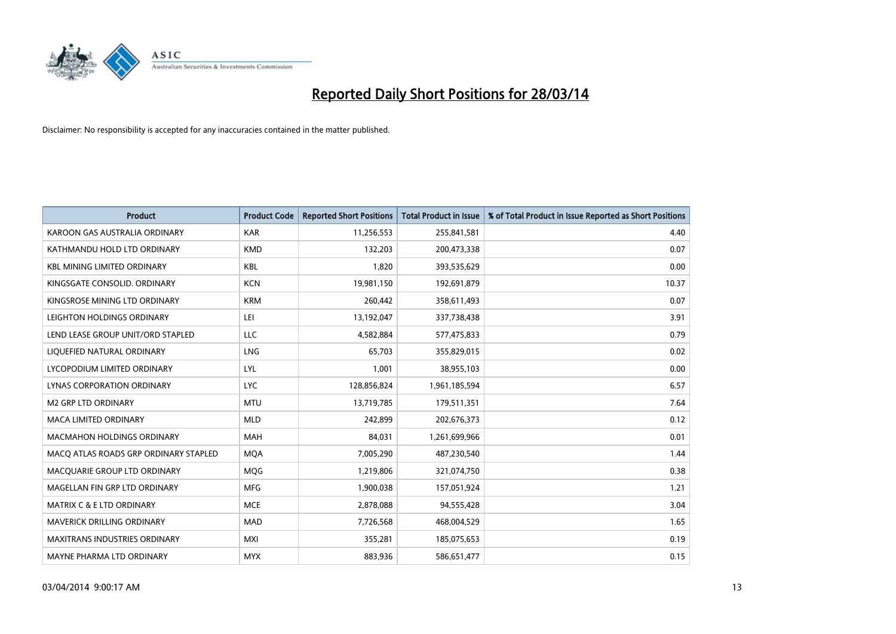

| <b>Product</b>                        | <b>Product Code</b> | <b>Reported Short Positions</b> | <b>Total Product in Issue</b> | % of Total Product in Issue Reported as Short Positions |
|---------------------------------------|---------------------|---------------------------------|-------------------------------|---------------------------------------------------------|
| KAROON GAS AUSTRALIA ORDINARY         | <b>KAR</b>          | 11,256,553                      | 255,841,581                   | 4.40                                                    |
| KATHMANDU HOLD LTD ORDINARY           | <b>KMD</b>          | 132,203                         | 200,473,338                   | 0.07                                                    |
| <b>KBL MINING LIMITED ORDINARY</b>    | <b>KBL</b>          | 1,820                           | 393,535,629                   | 0.00                                                    |
| KINGSGATE CONSOLID. ORDINARY          | <b>KCN</b>          | 19,981,150                      | 192,691,879                   | 10.37                                                   |
| KINGSROSE MINING LTD ORDINARY         | <b>KRM</b>          | 260,442                         | 358,611,493                   | 0.07                                                    |
| LEIGHTON HOLDINGS ORDINARY            | LEI                 | 13,192,047                      | 337,738,438                   | 3.91                                                    |
| LEND LEASE GROUP UNIT/ORD STAPLED     | <b>LLC</b>          | 4,582,884                       | 577,475,833                   | 0.79                                                    |
| LIQUEFIED NATURAL ORDINARY            | <b>LNG</b>          | 65,703                          | 355,829,015                   | 0.02                                                    |
| LYCOPODIUM LIMITED ORDINARY           | <b>LYL</b>          | 1,001                           | 38,955,103                    | 0.00                                                    |
| LYNAS CORPORATION ORDINARY            | <b>LYC</b>          | 128,856,824                     | 1,961,185,594                 | 6.57                                                    |
| <b>M2 GRP LTD ORDINARY</b>            | <b>MTU</b>          | 13,719,785                      | 179,511,351                   | 7.64                                                    |
| <b>MACA LIMITED ORDINARY</b>          | <b>MLD</b>          | 242,899                         | 202,676,373                   | 0.12                                                    |
| <b>MACMAHON HOLDINGS ORDINARY</b>     | <b>MAH</b>          | 84,031                          | 1,261,699,966                 | 0.01                                                    |
| MACO ATLAS ROADS GRP ORDINARY STAPLED | <b>MOA</b>          | 7,005,290                       | 487,230,540                   | 1.44                                                    |
| MACQUARIE GROUP LTD ORDINARY          | <b>MOG</b>          | 1,219,806                       | 321,074,750                   | 0.38                                                    |
| MAGELLAN FIN GRP LTD ORDINARY         | <b>MFG</b>          | 1,900,038                       | 157,051,924                   | 1.21                                                    |
| <b>MATRIX C &amp; E LTD ORDINARY</b>  | <b>MCE</b>          | 2,878,088                       | 94,555,428                    | 3.04                                                    |
| <b>MAVERICK DRILLING ORDINARY</b>     | <b>MAD</b>          | 7,726,568                       | 468,004,529                   | 1.65                                                    |
| <b>MAXITRANS INDUSTRIES ORDINARY</b>  | <b>MXI</b>          | 355,281                         | 185,075,653                   | 0.19                                                    |
| MAYNE PHARMA LTD ORDINARY             | <b>MYX</b>          | 883,936                         | 586,651,477                   | 0.15                                                    |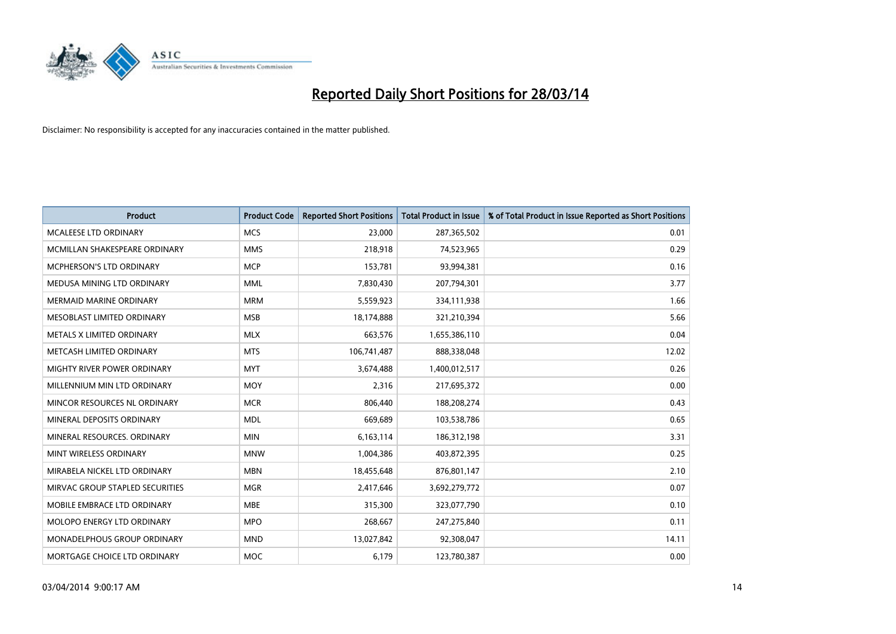

| <b>Product</b>                  | <b>Product Code</b> | <b>Reported Short Positions</b> | <b>Total Product in Issue</b> | % of Total Product in Issue Reported as Short Positions |
|---------------------------------|---------------------|---------------------------------|-------------------------------|---------------------------------------------------------|
| <b>MCALEESE LTD ORDINARY</b>    | <b>MCS</b>          | 23,000                          | 287,365,502                   | 0.01                                                    |
| MCMILLAN SHAKESPEARE ORDINARY   | <b>MMS</b>          | 218,918                         | 74,523,965                    | 0.29                                                    |
| <b>MCPHERSON'S LTD ORDINARY</b> | <b>MCP</b>          | 153,781                         | 93,994,381                    | 0.16                                                    |
| MEDUSA MINING LTD ORDINARY      | <b>MML</b>          | 7,830,430                       | 207,794,301                   | 3.77                                                    |
| <b>MERMAID MARINE ORDINARY</b>  | <b>MRM</b>          | 5,559,923                       | 334,111,938                   | 1.66                                                    |
| MESOBLAST LIMITED ORDINARY      | <b>MSB</b>          | 18,174,888                      | 321,210,394                   | 5.66                                                    |
| METALS X LIMITED ORDINARY       | <b>MLX</b>          | 663,576                         | 1,655,386,110                 | 0.04                                                    |
| METCASH LIMITED ORDINARY        | <b>MTS</b>          | 106,741,487                     | 888,338,048                   | 12.02                                                   |
| MIGHTY RIVER POWER ORDINARY     | <b>MYT</b>          | 3,674,488                       | 1,400,012,517                 | 0.26                                                    |
| MILLENNIUM MIN LTD ORDINARY     | <b>MOY</b>          | 2,316                           | 217,695,372                   | 0.00                                                    |
| MINCOR RESOURCES NL ORDINARY    | <b>MCR</b>          | 806,440                         | 188,208,274                   | 0.43                                                    |
| MINERAL DEPOSITS ORDINARY       | <b>MDL</b>          | 669,689                         | 103,538,786                   | 0.65                                                    |
| MINERAL RESOURCES, ORDINARY     | <b>MIN</b>          | 6,163,114                       | 186,312,198                   | 3.31                                                    |
| MINT WIRELESS ORDINARY          | <b>MNW</b>          | 1,004,386                       | 403,872,395                   | 0.25                                                    |
| MIRABELA NICKEL LTD ORDINARY    | <b>MBN</b>          | 18,455,648                      | 876,801,147                   | 2.10                                                    |
| MIRVAC GROUP STAPLED SECURITIES | <b>MGR</b>          | 2,417,646                       | 3,692,279,772                 | 0.07                                                    |
| MOBILE EMBRACE LTD ORDINARY     | <b>MBE</b>          | 315,300                         | 323,077,790                   | 0.10                                                    |
| MOLOPO ENERGY LTD ORDINARY      | <b>MPO</b>          | 268,667                         | 247,275,840                   | 0.11                                                    |
| MONADELPHOUS GROUP ORDINARY     | <b>MND</b>          | 13,027,842                      | 92,308,047                    | 14.11                                                   |
| MORTGAGE CHOICE LTD ORDINARY    | <b>MOC</b>          | 6,179                           | 123,780,387                   | 0.00                                                    |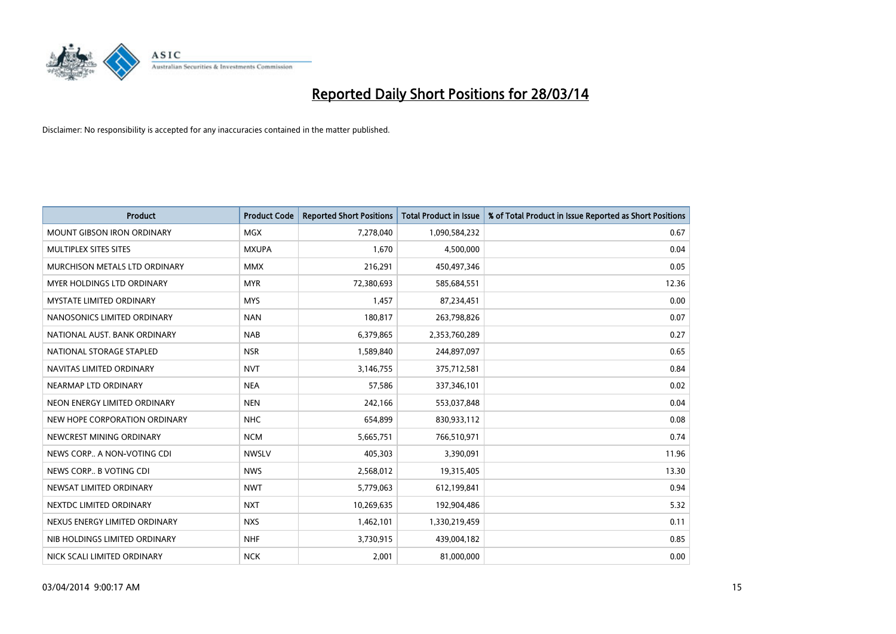

| <b>Product</b>                    | <b>Product Code</b> | <b>Reported Short Positions</b> | <b>Total Product in Issue</b> | % of Total Product in Issue Reported as Short Positions |
|-----------------------------------|---------------------|---------------------------------|-------------------------------|---------------------------------------------------------|
| <b>MOUNT GIBSON IRON ORDINARY</b> | MGX                 | 7,278,040                       | 1,090,584,232                 | 0.67                                                    |
| MULTIPLEX SITES SITES             | <b>MXUPA</b>        | 1,670                           | 4,500,000                     | 0.04                                                    |
| MURCHISON METALS LTD ORDINARY     | <b>MMX</b>          | 216,291                         | 450,497,346                   | 0.05                                                    |
| MYER HOLDINGS LTD ORDINARY        | <b>MYR</b>          | 72,380,693                      | 585,684,551                   | 12.36                                                   |
| <b>MYSTATE LIMITED ORDINARY</b>   | <b>MYS</b>          | 1,457                           | 87,234,451                    | 0.00                                                    |
| NANOSONICS LIMITED ORDINARY       | <b>NAN</b>          | 180,817                         | 263,798,826                   | 0.07                                                    |
| NATIONAL AUST. BANK ORDINARY      | <b>NAB</b>          | 6,379,865                       | 2,353,760,289                 | 0.27                                                    |
| NATIONAL STORAGE STAPLED          | <b>NSR</b>          | 1,589,840                       | 244,897,097                   | 0.65                                                    |
| NAVITAS LIMITED ORDINARY          | <b>NVT</b>          | 3,146,755                       | 375,712,581                   | 0.84                                                    |
| NEARMAP LTD ORDINARY              | <b>NEA</b>          | 57,586                          | 337,346,101                   | 0.02                                                    |
| NEON ENERGY LIMITED ORDINARY      | <b>NEN</b>          | 242,166                         | 553,037,848                   | 0.04                                                    |
| NEW HOPE CORPORATION ORDINARY     | NHC                 | 654,899                         | 830,933,112                   | 0.08                                                    |
| NEWCREST MINING ORDINARY          | <b>NCM</b>          | 5,665,751                       | 766,510,971                   | 0.74                                                    |
| NEWS CORP A NON-VOTING CDI        | <b>NWSLV</b>        | 405,303                         | 3,390,091                     | 11.96                                                   |
| NEWS CORP B VOTING CDI            | <b>NWS</b>          | 2,568,012                       | 19,315,405                    | 13.30                                                   |
| NEWSAT LIMITED ORDINARY           | <b>NWT</b>          | 5,779,063                       | 612,199,841                   | 0.94                                                    |
| NEXTDC LIMITED ORDINARY           | <b>NXT</b>          | 10,269,635                      | 192,904,486                   | 5.32                                                    |
| NEXUS ENERGY LIMITED ORDINARY     | <b>NXS</b>          | 1,462,101                       | 1,330,219,459                 | 0.11                                                    |
| NIB HOLDINGS LIMITED ORDINARY     | <b>NHF</b>          | 3,730,915                       | 439,004,182                   | 0.85                                                    |
| NICK SCALI LIMITED ORDINARY       | <b>NCK</b>          | 2,001                           | 81,000,000                    | 0.00                                                    |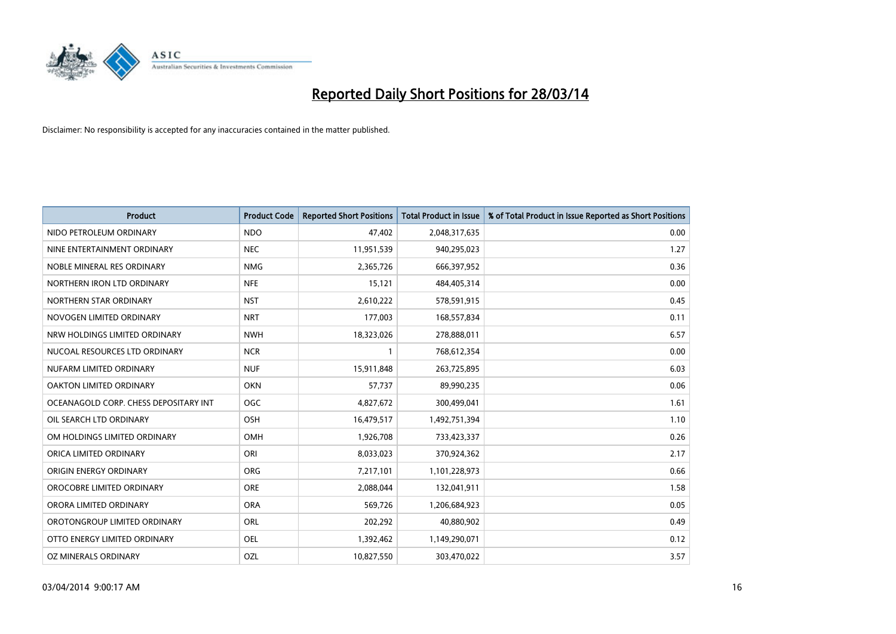

| <b>Product</b>                        | <b>Product Code</b> | <b>Reported Short Positions</b> | <b>Total Product in Issue</b> | % of Total Product in Issue Reported as Short Positions |
|---------------------------------------|---------------------|---------------------------------|-------------------------------|---------------------------------------------------------|
| NIDO PETROLEUM ORDINARY               | <b>NDO</b>          | 47,402                          | 2,048,317,635                 | 0.00                                                    |
| NINE ENTERTAINMENT ORDINARY           | <b>NEC</b>          | 11,951,539                      | 940,295,023                   | 1.27                                                    |
| NOBLE MINERAL RES ORDINARY            | <b>NMG</b>          | 2,365,726                       | 666,397,952                   | 0.36                                                    |
| NORTHERN IRON LTD ORDINARY            | <b>NFE</b>          | 15,121                          | 484,405,314                   | 0.00                                                    |
| NORTHERN STAR ORDINARY                | <b>NST</b>          | 2,610,222                       | 578,591,915                   | 0.45                                                    |
| NOVOGEN LIMITED ORDINARY              | <b>NRT</b>          | 177,003                         | 168,557,834                   | 0.11                                                    |
| NRW HOLDINGS LIMITED ORDINARY         | <b>NWH</b>          | 18,323,026                      | 278,888,011                   | 6.57                                                    |
| NUCOAL RESOURCES LTD ORDINARY         | <b>NCR</b>          | $\mathbf{1}$                    | 768,612,354                   | 0.00                                                    |
| NUFARM LIMITED ORDINARY               | <b>NUF</b>          | 15,911,848                      | 263,725,895                   | 6.03                                                    |
| <b>OAKTON LIMITED ORDINARY</b>        | <b>OKN</b>          | 57,737                          | 89,990,235                    | 0.06                                                    |
| OCEANAGOLD CORP. CHESS DEPOSITARY INT | <b>OGC</b>          | 4,827,672                       | 300,499,041                   | 1.61                                                    |
| OIL SEARCH LTD ORDINARY               | OSH                 | 16,479,517                      | 1,492,751,394                 | 1.10                                                    |
| OM HOLDINGS LIMITED ORDINARY          | OMH                 | 1,926,708                       | 733,423,337                   | 0.26                                                    |
| ORICA LIMITED ORDINARY                | ORI                 | 8,033,023                       | 370,924,362                   | 2.17                                                    |
| ORIGIN ENERGY ORDINARY                | <b>ORG</b>          | 7,217,101                       | 1,101,228,973                 | 0.66                                                    |
| OROCOBRE LIMITED ORDINARY             | <b>ORE</b>          | 2,088,044                       | 132,041,911                   | 1.58                                                    |
| ORORA LIMITED ORDINARY                | <b>ORA</b>          | 569,726                         | 1,206,684,923                 | 0.05                                                    |
| OROTONGROUP LIMITED ORDINARY          | ORL                 | 202,292                         | 40,880,902                    | 0.49                                                    |
| OTTO ENERGY LIMITED ORDINARY          | <b>OEL</b>          | 1,392,462                       | 1,149,290,071                 | 0.12                                                    |
| OZ MINERALS ORDINARY                  | OZL                 | 10,827,550                      | 303,470,022                   | 3.57                                                    |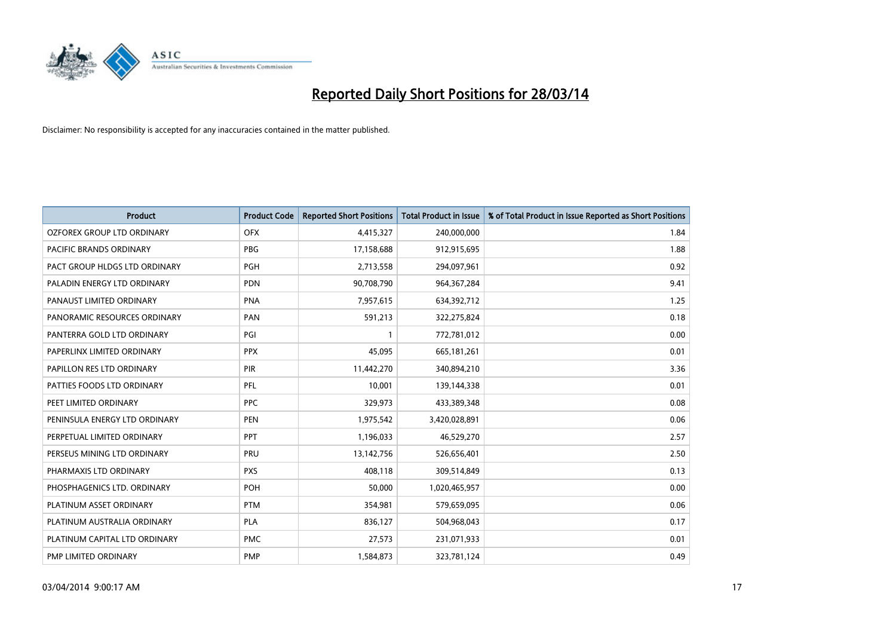

| <b>Product</b>                 | <b>Product Code</b> | <b>Reported Short Positions</b> | <b>Total Product in Issue</b> | % of Total Product in Issue Reported as Short Positions |
|--------------------------------|---------------------|---------------------------------|-------------------------------|---------------------------------------------------------|
| OZFOREX GROUP LTD ORDINARY     | <b>OFX</b>          | 4,415,327                       | 240,000,000                   | 1.84                                                    |
| <b>PACIFIC BRANDS ORDINARY</b> | <b>PBG</b>          | 17,158,688                      | 912,915,695                   | 1.88                                                    |
| PACT GROUP HLDGS LTD ORDINARY  | <b>PGH</b>          | 2,713,558                       | 294,097,961                   | 0.92                                                    |
| PALADIN ENERGY LTD ORDINARY    | <b>PDN</b>          | 90,708,790                      | 964, 367, 284                 | 9.41                                                    |
| PANAUST LIMITED ORDINARY       | <b>PNA</b>          | 7,957,615                       | 634,392,712                   | 1.25                                                    |
| PANORAMIC RESOURCES ORDINARY   | PAN                 | 591,213                         | 322,275,824                   | 0.18                                                    |
| PANTERRA GOLD LTD ORDINARY     | PGI                 | $\mathbf{1}$                    | 772,781,012                   | 0.00                                                    |
| PAPERLINX LIMITED ORDINARY     | <b>PPX</b>          | 45,095                          | 665, 181, 261                 | 0.01                                                    |
| PAPILLON RES LTD ORDINARY      | <b>PIR</b>          | 11,442,270                      | 340,894,210                   | 3.36                                                    |
| PATTIES FOODS LTD ORDINARY     | PFL                 | 10,001                          | 139,144,338                   | 0.01                                                    |
| PEET LIMITED ORDINARY          | <b>PPC</b>          | 329,973                         | 433,389,348                   | 0.08                                                    |
| PENINSULA ENERGY LTD ORDINARY  | <b>PEN</b>          | 1,975,542                       | 3,420,028,891                 | 0.06                                                    |
| PERPETUAL LIMITED ORDINARY     | <b>PPT</b>          | 1,196,033                       | 46,529,270                    | 2.57                                                    |
| PERSEUS MINING LTD ORDINARY    | <b>PRU</b>          | 13,142,756                      | 526,656,401                   | 2.50                                                    |
| PHARMAXIS LTD ORDINARY         | <b>PXS</b>          | 408,118                         | 309,514,849                   | 0.13                                                    |
| PHOSPHAGENICS LTD. ORDINARY    | <b>POH</b>          | 50,000                          | 1,020,465,957                 | 0.00                                                    |
| PLATINUM ASSET ORDINARY        | <b>PTM</b>          | 354,981                         | 579,659,095                   | 0.06                                                    |
| PLATINUM AUSTRALIA ORDINARY    | PLA                 | 836,127                         | 504,968,043                   | 0.17                                                    |
| PLATINUM CAPITAL LTD ORDINARY  | <b>PMC</b>          | 27,573                          | 231,071,933                   | 0.01                                                    |
| PMP LIMITED ORDINARY           | <b>PMP</b>          | 1,584,873                       | 323,781,124                   | 0.49                                                    |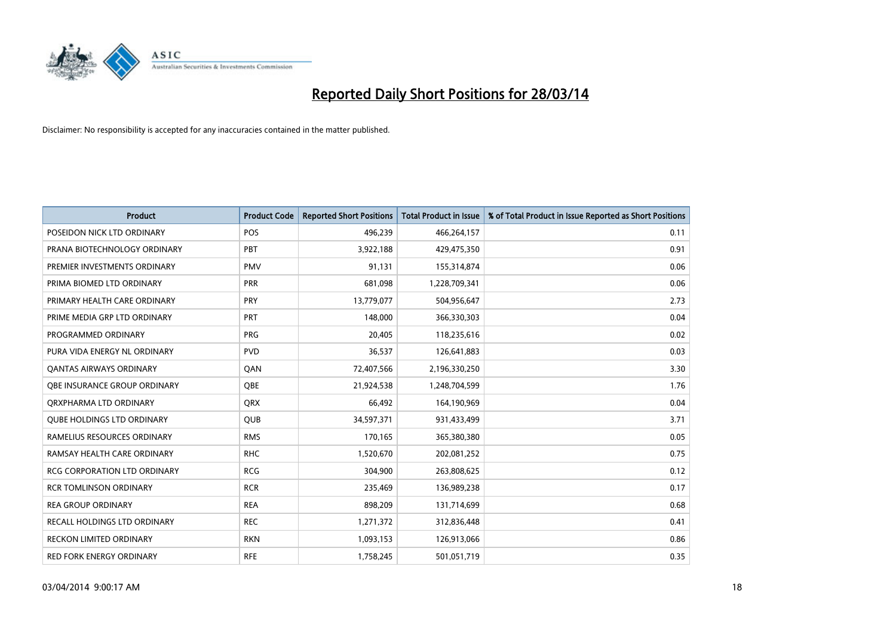

| <b>Product</b>                      | <b>Product Code</b> | <b>Reported Short Positions</b> | <b>Total Product in Issue</b> | % of Total Product in Issue Reported as Short Positions |
|-------------------------------------|---------------------|---------------------------------|-------------------------------|---------------------------------------------------------|
| POSEIDON NICK LTD ORDINARY          | <b>POS</b>          | 496,239                         | 466,264,157                   | 0.11                                                    |
| PRANA BIOTECHNOLOGY ORDINARY        | <b>PBT</b>          | 3,922,188                       | 429,475,350                   | 0.91                                                    |
| PREMIER INVESTMENTS ORDINARY        | <b>PMV</b>          | 91,131                          | 155,314,874                   | 0.06                                                    |
| PRIMA BIOMED LTD ORDINARY           | <b>PRR</b>          | 681,098                         | 1,228,709,341                 | 0.06                                                    |
| PRIMARY HEALTH CARE ORDINARY        | <b>PRY</b>          | 13,779,077                      | 504,956,647                   | 2.73                                                    |
| PRIME MEDIA GRP LTD ORDINARY        | <b>PRT</b>          | 148,000                         | 366,330,303                   | 0.04                                                    |
| PROGRAMMED ORDINARY                 | <b>PRG</b>          | 20,405                          | 118,235,616                   | 0.02                                                    |
| PURA VIDA ENERGY NL ORDINARY        | <b>PVD</b>          | 36,537                          | 126,641,883                   | 0.03                                                    |
| <b>QANTAS AIRWAYS ORDINARY</b>      | QAN                 | 72,407,566                      | 2,196,330,250                 | 3.30                                                    |
| OBE INSURANCE GROUP ORDINARY        | <b>OBE</b>          | 21,924,538                      | 1,248,704,599                 | 1.76                                                    |
| ORXPHARMA LTD ORDINARY              | <b>QRX</b>          | 66,492                          | 164,190,969                   | 0.04                                                    |
| <b>QUBE HOLDINGS LTD ORDINARY</b>   | QUB                 | 34,597,371                      | 931,433,499                   | 3.71                                                    |
| RAMELIUS RESOURCES ORDINARY         | <b>RMS</b>          | 170,165                         | 365,380,380                   | 0.05                                                    |
| RAMSAY HEALTH CARE ORDINARY         | <b>RHC</b>          | 1,520,670                       | 202,081,252                   | 0.75                                                    |
| <b>RCG CORPORATION LTD ORDINARY</b> | <b>RCG</b>          | 304,900                         | 263,808,625                   | 0.12                                                    |
| <b>RCR TOMLINSON ORDINARY</b>       | <b>RCR</b>          | 235,469                         | 136,989,238                   | 0.17                                                    |
| <b>REA GROUP ORDINARY</b>           | <b>REA</b>          | 898,209                         | 131,714,699                   | 0.68                                                    |
| <b>RECALL HOLDINGS LTD ORDINARY</b> | <b>REC</b>          | 1,271,372                       | 312,836,448                   | 0.41                                                    |
| <b>RECKON LIMITED ORDINARY</b>      | <b>RKN</b>          | 1,093,153                       | 126,913,066                   | 0.86                                                    |
| RED FORK ENERGY ORDINARY            | <b>RFE</b>          | 1,758,245                       | 501,051,719                   | 0.35                                                    |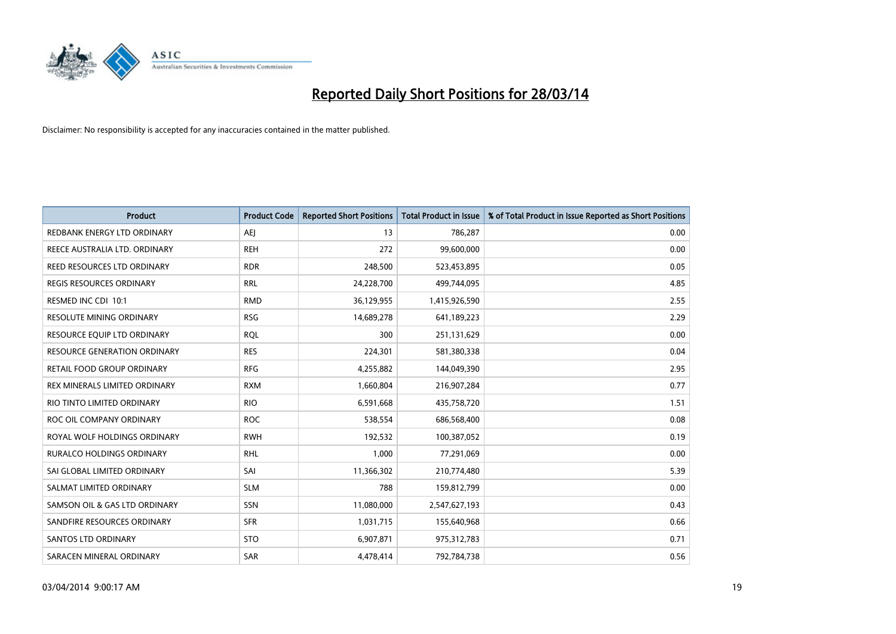

| Product                       | <b>Product Code</b> | <b>Reported Short Positions</b> | <b>Total Product in Issue</b> | % of Total Product in Issue Reported as Short Positions |
|-------------------------------|---------------------|---------------------------------|-------------------------------|---------------------------------------------------------|
| REDBANK ENERGY LTD ORDINARY   | <b>AEJ</b>          | 13                              | 786,287                       | 0.00                                                    |
| REECE AUSTRALIA LTD. ORDINARY | <b>REH</b>          | 272                             | 99,600,000                    | 0.00                                                    |
| REED RESOURCES LTD ORDINARY   | <b>RDR</b>          | 248,500                         | 523,453,895                   | 0.05                                                    |
| REGIS RESOURCES ORDINARY      | <b>RRL</b>          | 24,228,700                      | 499,744,095                   | 4.85                                                    |
| RESMED INC CDI 10:1           | <b>RMD</b>          | 36,129,955                      | 1,415,926,590                 | 2.55                                                    |
| RESOLUTE MINING ORDINARY      | <b>RSG</b>          | 14,689,278                      | 641,189,223                   | 2.29                                                    |
| RESOURCE EQUIP LTD ORDINARY   | <b>RQL</b>          | 300                             | 251,131,629                   | 0.00                                                    |
| RESOURCE GENERATION ORDINARY  | <b>RES</b>          | 224,301                         | 581,380,338                   | 0.04                                                    |
| RETAIL FOOD GROUP ORDINARY    | <b>RFG</b>          | 4,255,882                       | 144,049,390                   | 2.95                                                    |
| REX MINERALS LIMITED ORDINARY | <b>RXM</b>          | 1,660,804                       | 216,907,284                   | 0.77                                                    |
| RIO TINTO LIMITED ORDINARY    | <b>RIO</b>          | 6,591,668                       | 435,758,720                   | 1.51                                                    |
| ROC OIL COMPANY ORDINARY      | <b>ROC</b>          | 538,554                         | 686,568,400                   | 0.08                                                    |
| ROYAL WOLF HOLDINGS ORDINARY  | <b>RWH</b>          | 192,532                         | 100,387,052                   | 0.19                                                    |
| RURALCO HOLDINGS ORDINARY     | <b>RHL</b>          | 1,000                           | 77,291,069                    | 0.00                                                    |
| SAI GLOBAL LIMITED ORDINARY   | SAI                 | 11,366,302                      | 210,774,480                   | 5.39                                                    |
| SALMAT LIMITED ORDINARY       | <b>SLM</b>          | 788                             | 159,812,799                   | 0.00                                                    |
| SAMSON OIL & GAS LTD ORDINARY | SSN                 | 11,080,000                      | 2,547,627,193                 | 0.43                                                    |
| SANDFIRE RESOURCES ORDINARY   | <b>SFR</b>          | 1,031,715                       | 155,640,968                   | 0.66                                                    |
| SANTOS LTD ORDINARY           | <b>STO</b>          | 6,907,871                       | 975,312,783                   | 0.71                                                    |
| SARACEN MINERAL ORDINARY      | SAR                 | 4,478,414                       | 792,784,738                   | 0.56                                                    |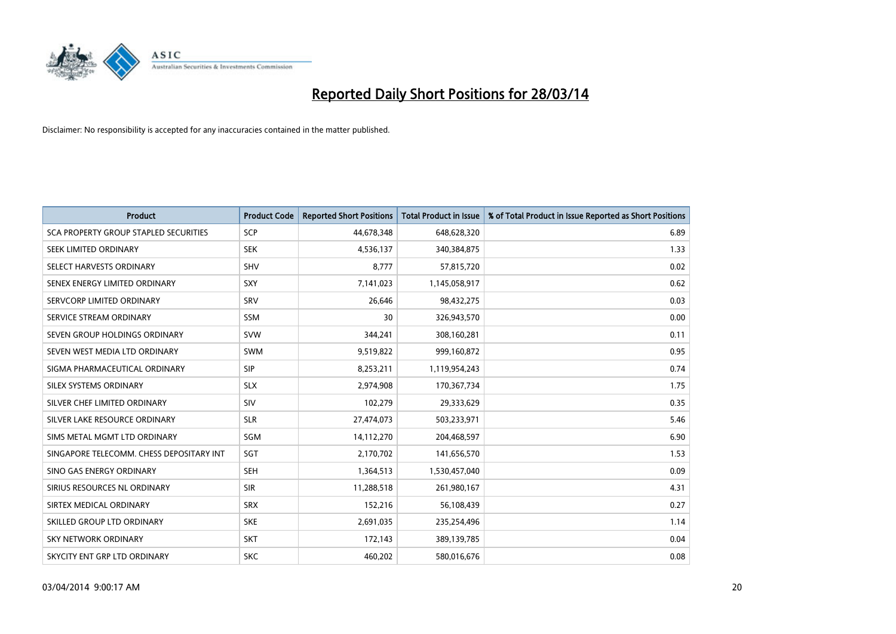

| <b>Product</b>                           | <b>Product Code</b> | <b>Reported Short Positions</b> | <b>Total Product in Issue</b> | % of Total Product in Issue Reported as Short Positions |
|------------------------------------------|---------------------|---------------------------------|-------------------------------|---------------------------------------------------------|
| SCA PROPERTY GROUP STAPLED SECURITIES    | <b>SCP</b>          | 44,678,348                      | 648,628,320                   | 6.89                                                    |
| SEEK LIMITED ORDINARY                    | <b>SEK</b>          | 4,536,137                       | 340,384,875                   | 1.33                                                    |
| SELECT HARVESTS ORDINARY                 | <b>SHV</b>          | 8,777                           | 57,815,720                    | 0.02                                                    |
| SENEX ENERGY LIMITED ORDINARY            | <b>SXY</b>          | 7,141,023                       | 1,145,058,917                 | 0.62                                                    |
| SERVCORP LIMITED ORDINARY                | SRV                 | 26,646                          | 98,432,275                    | 0.03                                                    |
| SERVICE STREAM ORDINARY                  | SSM                 | 30                              | 326,943,570                   | 0.00                                                    |
| SEVEN GROUP HOLDINGS ORDINARY            | <b>SVW</b>          | 344,241                         | 308,160,281                   | 0.11                                                    |
| SEVEN WEST MEDIA LTD ORDINARY            | SWM                 | 9,519,822                       | 999,160,872                   | 0.95                                                    |
| SIGMA PHARMACEUTICAL ORDINARY            | <b>SIP</b>          | 8,253,211                       | 1,119,954,243                 | 0.74                                                    |
| SILEX SYSTEMS ORDINARY                   | <b>SLX</b>          | 2,974,908                       | 170,367,734                   | 1.75                                                    |
| SILVER CHEF LIMITED ORDINARY             | <b>SIV</b>          | 102,279                         | 29,333,629                    | 0.35                                                    |
| SILVER LAKE RESOURCE ORDINARY            | <b>SLR</b>          | 27,474,073                      | 503,233,971                   | 5.46                                                    |
| SIMS METAL MGMT LTD ORDINARY             | SGM                 | 14,112,270                      | 204,468,597                   | 6.90                                                    |
| SINGAPORE TELECOMM. CHESS DEPOSITARY INT | SGT                 | 2,170,702                       | 141,656,570                   | 1.53                                                    |
| SINO GAS ENERGY ORDINARY                 | <b>SEH</b>          | 1,364,513                       | 1,530,457,040                 | 0.09                                                    |
| SIRIUS RESOURCES NL ORDINARY             | <b>SIR</b>          | 11,288,518                      | 261,980,167                   | 4.31                                                    |
| SIRTEX MEDICAL ORDINARY                  | <b>SRX</b>          | 152,216                         | 56,108,439                    | 0.27                                                    |
| SKILLED GROUP LTD ORDINARY               | <b>SKE</b>          | 2,691,035                       | 235,254,496                   | 1.14                                                    |
| <b>SKY NETWORK ORDINARY</b>              | <b>SKT</b>          | 172,143                         | 389,139,785                   | 0.04                                                    |
| SKYCITY ENT GRP LTD ORDINARY             | <b>SKC</b>          | 460,202                         | 580,016,676                   | 0.08                                                    |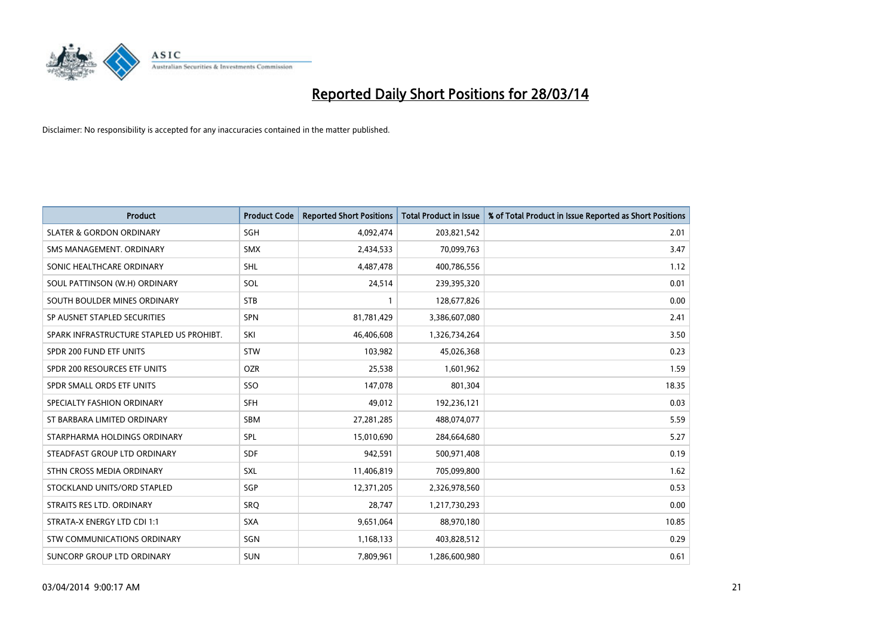

| <b>Product</b>                           | <b>Product Code</b> | <b>Reported Short Positions</b> | <b>Total Product in Issue</b> | % of Total Product in Issue Reported as Short Positions |
|------------------------------------------|---------------------|---------------------------------|-------------------------------|---------------------------------------------------------|
| <b>SLATER &amp; GORDON ORDINARY</b>      | SGH                 | 4,092,474                       | 203,821,542                   | 2.01                                                    |
| SMS MANAGEMENT, ORDINARY                 | SMX                 | 2,434,533                       | 70,099,763                    | 3.47                                                    |
| SONIC HEALTHCARE ORDINARY                | <b>SHL</b>          | 4,487,478                       | 400,786,556                   | 1.12                                                    |
| SOUL PATTINSON (W.H) ORDINARY            | SOL                 | 24,514                          | 239,395,320                   | 0.01                                                    |
| SOUTH BOULDER MINES ORDINARY             | <b>STB</b>          | $\mathbf{1}$                    | 128,677,826                   | 0.00                                                    |
| SP AUSNET STAPLED SECURITIES             | SPN                 | 81,781,429                      | 3,386,607,080                 | 2.41                                                    |
| SPARK INFRASTRUCTURE STAPLED US PROHIBT. | SKI                 | 46,406,608                      | 1,326,734,264                 | 3.50                                                    |
| SPDR 200 FUND ETF UNITS                  | <b>STW</b>          | 103,982                         | 45,026,368                    | 0.23                                                    |
| SPDR 200 RESOURCES ETF UNITS             | <b>OZR</b>          | 25,538                          | 1,601,962                     | 1.59                                                    |
| SPDR SMALL ORDS ETF UNITS                | SSO                 | 147,078                         | 801,304                       | 18.35                                                   |
| SPECIALTY FASHION ORDINARY               | <b>SFH</b>          | 49,012                          | 192,236,121                   | 0.03                                                    |
| ST BARBARA LIMITED ORDINARY              | <b>SBM</b>          | 27,281,285                      | 488,074,077                   | 5.59                                                    |
| STARPHARMA HOLDINGS ORDINARY             | SPL                 | 15,010,690                      | 284,664,680                   | 5.27                                                    |
| STEADFAST GROUP LTD ORDINARY             | <b>SDF</b>          | 942,591                         | 500,971,408                   | 0.19                                                    |
| STHN CROSS MEDIA ORDINARY                | <b>SXL</b>          | 11,406,819                      | 705,099,800                   | 1.62                                                    |
| STOCKLAND UNITS/ORD STAPLED              | SGP                 | 12,371,205                      | 2,326,978,560                 | 0.53                                                    |
| STRAITS RES LTD. ORDINARY                | <b>SRQ</b>          | 28,747                          | 1,217,730,293                 | 0.00                                                    |
| STRATA-X ENERGY LTD CDI 1:1              | <b>SXA</b>          | 9,651,064                       | 88,970,180                    | 10.85                                                   |
| STW COMMUNICATIONS ORDINARY              | SGN                 | 1,168,133                       | 403,828,512                   | 0.29                                                    |
| SUNCORP GROUP LTD ORDINARY               | <b>SUN</b>          | 7,809,961                       | 1,286,600,980                 | 0.61                                                    |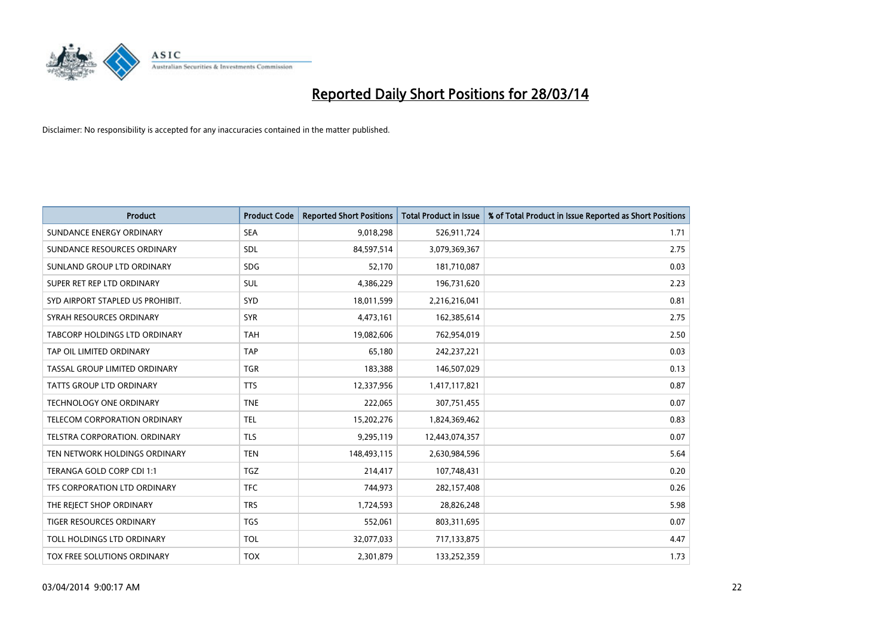

| <b>Product</b>                      | <b>Product Code</b> | <b>Reported Short Positions</b> | <b>Total Product in Issue</b> | % of Total Product in Issue Reported as Short Positions |
|-------------------------------------|---------------------|---------------------------------|-------------------------------|---------------------------------------------------------|
| SUNDANCE ENERGY ORDINARY            | <b>SEA</b>          | 9,018,298                       | 526,911,724                   | 1.71                                                    |
| SUNDANCE RESOURCES ORDINARY         | SDL                 | 84,597,514                      | 3,079,369,367                 | 2.75                                                    |
| SUNLAND GROUP LTD ORDINARY          | <b>SDG</b>          | 52,170                          | 181,710,087                   | 0.03                                                    |
| SUPER RET REP LTD ORDINARY          | SUL                 | 4,386,229                       | 196,731,620                   | 2.23                                                    |
| SYD AIRPORT STAPLED US PROHIBIT.    | SYD                 | 18,011,599                      | 2,216,216,041                 | 0.81                                                    |
| SYRAH RESOURCES ORDINARY            | <b>SYR</b>          | 4,473,161                       | 162,385,614                   | 2.75                                                    |
| TABCORP HOLDINGS LTD ORDINARY       | <b>TAH</b>          | 19,082,606                      | 762,954,019                   | 2.50                                                    |
| TAP OIL LIMITED ORDINARY            | <b>TAP</b>          | 65,180                          | 242,237,221                   | 0.03                                                    |
| TASSAL GROUP LIMITED ORDINARY       | <b>TGR</b>          | 183,388                         | 146,507,029                   | 0.13                                                    |
| <b>TATTS GROUP LTD ORDINARY</b>     | <b>TTS</b>          | 12,337,956                      | 1,417,117,821                 | 0.87                                                    |
| <b>TECHNOLOGY ONE ORDINARY</b>      | <b>TNE</b>          | 222,065                         | 307,751,455                   | 0.07                                                    |
| <b>TELECOM CORPORATION ORDINARY</b> | <b>TEL</b>          | 15,202,276                      | 1,824,369,462                 | 0.83                                                    |
| TELSTRA CORPORATION, ORDINARY       | <b>TLS</b>          | 9,295,119                       | 12,443,074,357                | 0.07                                                    |
| TEN NETWORK HOLDINGS ORDINARY       | <b>TEN</b>          | 148,493,115                     | 2,630,984,596                 | 5.64                                                    |
| TERANGA GOLD CORP CDI 1:1           | <b>TGZ</b>          | 214,417                         | 107,748,431                   | 0.20                                                    |
| TFS CORPORATION LTD ORDINARY        | <b>TFC</b>          | 744,973                         | 282,157,408                   | 0.26                                                    |
| THE REJECT SHOP ORDINARY            | <b>TRS</b>          | 1,724,593                       | 28,826,248                    | 5.98                                                    |
| TIGER RESOURCES ORDINARY            | <b>TGS</b>          | 552,061                         | 803,311,695                   | 0.07                                                    |
| TOLL HOLDINGS LTD ORDINARY          | <b>TOL</b>          | 32,077,033                      | 717,133,875                   | 4.47                                                    |
| TOX FREE SOLUTIONS ORDINARY         | <b>TOX</b>          | 2,301,879                       | 133,252,359                   | 1.73                                                    |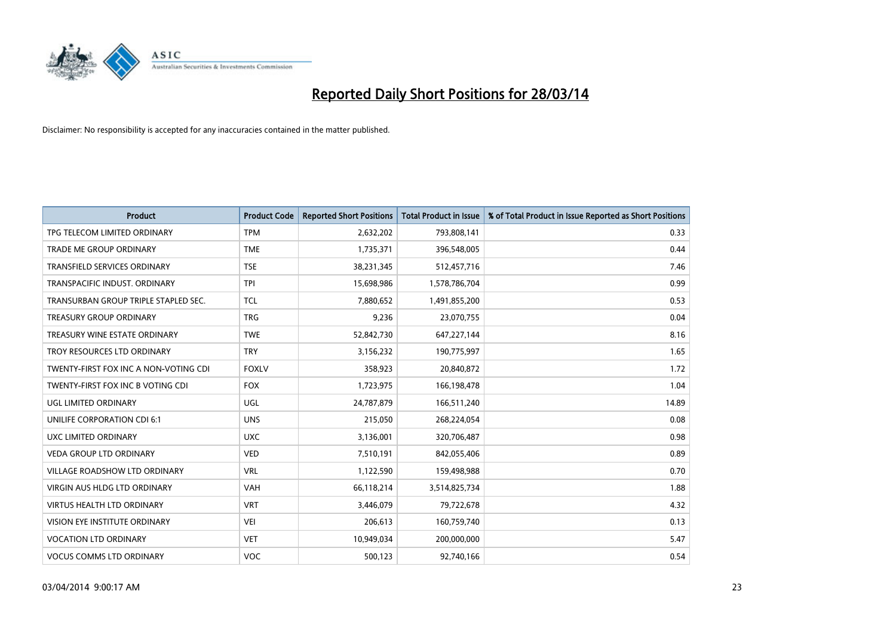

| <b>Product</b>                        | <b>Product Code</b> | <b>Reported Short Positions</b> | <b>Total Product in Issue</b> | % of Total Product in Issue Reported as Short Positions |
|---------------------------------------|---------------------|---------------------------------|-------------------------------|---------------------------------------------------------|
| TPG TELECOM LIMITED ORDINARY          | <b>TPM</b>          | 2,632,202                       | 793,808,141                   | 0.33                                                    |
| TRADE ME GROUP ORDINARY               | <b>TME</b>          | 1,735,371                       | 396,548,005                   | 0.44                                                    |
| <b>TRANSFIELD SERVICES ORDINARY</b>   | <b>TSE</b>          | 38,231,345                      | 512,457,716                   | 7.46                                                    |
| TRANSPACIFIC INDUST. ORDINARY         | <b>TPI</b>          | 15,698,986                      | 1,578,786,704                 | 0.99                                                    |
| TRANSURBAN GROUP TRIPLE STAPLED SEC.  | <b>TCL</b>          | 7,880,652                       | 1,491,855,200                 | 0.53                                                    |
| <b>TREASURY GROUP ORDINARY</b>        | <b>TRG</b>          | 9,236                           | 23,070,755                    | 0.04                                                    |
| TREASURY WINE ESTATE ORDINARY         | <b>TWE</b>          | 52,842,730                      | 647,227,144                   | 8.16                                                    |
| TROY RESOURCES LTD ORDINARY           | <b>TRY</b>          | 3,156,232                       | 190,775,997                   | 1.65                                                    |
| TWENTY-FIRST FOX INC A NON-VOTING CDI | <b>FOXLV</b>        | 358,923                         | 20,840,872                    | 1.72                                                    |
| TWENTY-FIRST FOX INC B VOTING CDI     | <b>FOX</b>          | 1,723,975                       | 166,198,478                   | 1.04                                                    |
| UGL LIMITED ORDINARY                  | UGL                 | 24,787,879                      | 166,511,240                   | 14.89                                                   |
| UNILIFE CORPORATION CDI 6:1           | <b>UNS</b>          | 215,050                         | 268,224,054                   | 0.08                                                    |
| UXC LIMITED ORDINARY                  | <b>UXC</b>          | 3,136,001                       | 320,706,487                   | 0.98                                                    |
| <b>VEDA GROUP LTD ORDINARY</b>        | <b>VED</b>          | 7,510,191                       | 842,055,406                   | 0.89                                                    |
| <b>VILLAGE ROADSHOW LTD ORDINARY</b>  | <b>VRL</b>          | 1,122,590                       | 159,498,988                   | 0.70                                                    |
| VIRGIN AUS HLDG LTD ORDINARY          | <b>VAH</b>          | 66,118,214                      | 3,514,825,734                 | 1.88                                                    |
| VIRTUS HEALTH LTD ORDINARY            | <b>VRT</b>          | 3,446,079                       | 79,722,678                    | 4.32                                                    |
| VISION EYE INSTITUTE ORDINARY         | <b>VEI</b>          | 206,613                         | 160,759,740                   | 0.13                                                    |
| <b>VOCATION LTD ORDINARY</b>          | <b>VET</b>          | 10,949,034                      | 200,000,000                   | 5.47                                                    |
| <b>VOCUS COMMS LTD ORDINARY</b>       | <b>VOC</b>          | 500,123                         | 92,740,166                    | 0.54                                                    |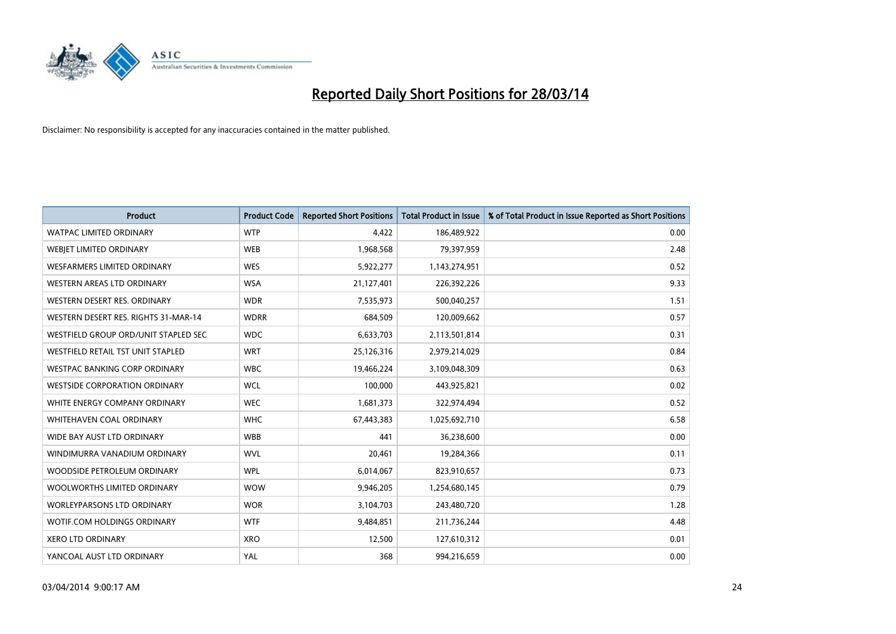

| <b>Product</b>                       | <b>Product Code</b> | <b>Reported Short Positions</b> | <b>Total Product in Issue</b> | % of Total Product in Issue Reported as Short Positions |
|--------------------------------------|---------------------|---------------------------------|-------------------------------|---------------------------------------------------------|
| <b>WATPAC LIMITED ORDINARY</b>       | <b>WTP</b>          | 4,422                           | 186,489,922                   | 0.00                                                    |
| WEBJET LIMITED ORDINARY              | <b>WEB</b>          | 1,968,568                       | 79,397,959                    | 2.48                                                    |
| WESFARMERS LIMITED ORDINARY          | <b>WES</b>          | 5,922,277                       | 1,143,274,951                 | 0.52                                                    |
| WESTERN AREAS LTD ORDINARY           | <b>WSA</b>          | 21,127,401                      | 226,392,226                   | 9.33                                                    |
| WESTERN DESERT RES. ORDINARY         | <b>WDR</b>          | 7,535,973                       | 500,040,257                   | 1.51                                                    |
| WESTERN DESERT RES. RIGHTS 31-MAR-14 | <b>WDRR</b>         | 684,509                         | 120,009,662                   | 0.57                                                    |
| WESTFIELD GROUP ORD/UNIT STAPLED SEC | <b>WDC</b>          | 6,633,703                       | 2,113,501,814                 | 0.31                                                    |
| WESTFIELD RETAIL TST UNIT STAPLED    | <b>WRT</b>          | 25,126,316                      | 2,979,214,029                 | 0.84                                                    |
| <b>WESTPAC BANKING CORP ORDINARY</b> | <b>WBC</b>          | 19,466,224                      | 3,109,048,309                 | 0.63                                                    |
| <b>WESTSIDE CORPORATION ORDINARY</b> | <b>WCL</b>          | 100,000                         | 443,925,821                   | 0.02                                                    |
| WHITE ENERGY COMPANY ORDINARY        | <b>WEC</b>          | 1,681,373                       | 322,974,494                   | 0.52                                                    |
| WHITEHAVEN COAL ORDINARY             | <b>WHC</b>          | 67,443,383                      | 1,025,692,710                 | 6.58                                                    |
| WIDE BAY AUST LTD ORDINARY           | <b>WBB</b>          | 441                             | 36,238,600                    | 0.00                                                    |
| WINDIMURRA VANADIUM ORDINARY         | <b>WVL</b>          | 20,461                          | 19,284,366                    | 0.11                                                    |
| WOODSIDE PETROLEUM ORDINARY          | <b>WPL</b>          | 6,014,067                       | 823,910,657                   | 0.73                                                    |
| WOOLWORTHS LIMITED ORDINARY          | <b>WOW</b>          | 9,946,205                       | 1,254,680,145                 | 0.79                                                    |
| <b>WORLEYPARSONS LTD ORDINARY</b>    | <b>WOR</b>          | 3,104,703                       | 243,480,720                   | 1.28                                                    |
| WOTIF.COM HOLDINGS ORDINARY          | <b>WTF</b>          | 9,484,851                       | 211,736,244                   | 4.48                                                    |
| <b>XERO LTD ORDINARY</b>             | <b>XRO</b>          | 12,500                          | 127,610,312                   | 0.01                                                    |
| YANCOAL AUST LTD ORDINARY            | YAL                 | 368                             | 994,216,659                   | 0.00                                                    |